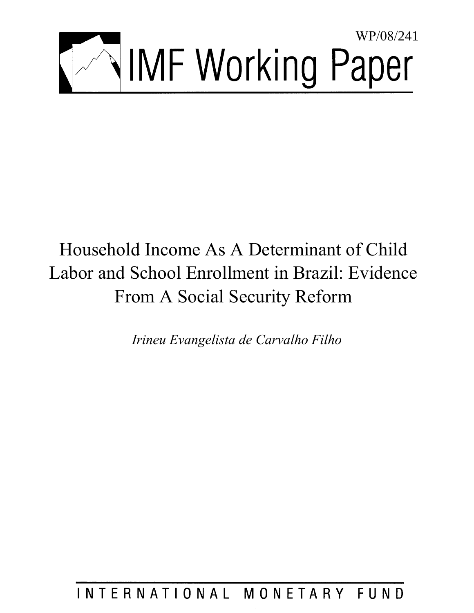

# Household Income As A Determinant of Child Labor and School Enrollment in Brazil: Evidence From A Social Security Reform

*Irineu Evangelista de Carvalho Filho* 

INTERNATIONAL MONETARY FUND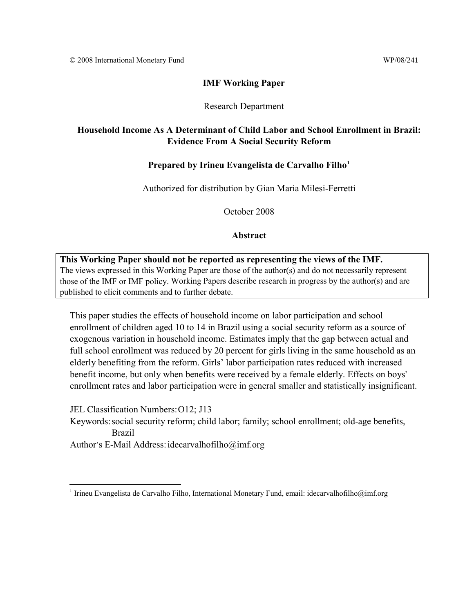### **IMF** Working Paper

#### Research Department

### 39B**Household Income As A Determinant of Child Labor and School Enrollment in Brazil: Evidence From A Social Security Reform**

### Prepared by Irineu Evangelista de Carvalho Filho<sup>1</sup>

Authorized for distribution by Gian Maria Milesi-Ferretti

October 2008

### **Abstract**

# **This Working Paper should not be reported as representing the views of the IMF.** The views expressed in this Working Paper are those of the author(s) and do not necessarily represent those of the IMF or IMF policy. Working Papers describe research in progress by the author(s) and are published to elicit comments and to further debate.

This paper studies the effects of household income on labor participation and school enrollment of children aged 10 to 14 in Brazil using a social security reform as a source of exogenous variation in household income. Estimates imply that the gap between actual and full school enrollment was reduced by 20 percent for girls living in the same household as an elderly benefiting from the reform. Girls' labor participation rates reduced with increased benefit income, but only when benefits were received by a female elderly. Effects on boys' enrollment rates and labor participation were in general smaller and statistically insignificant.

JEL Classification Numbers: O12; J13

 $\overline{a}$ 

Keywords: social security reform; child labor; family; school enrollment; old-age benefits, Brazil

Author's E-Mail Address: idecarvalhofilho@imf.org

<sup>&</sup>lt;sup>1</sup> Irineu Evangelista de Carvalho Filho, International Monetary Fund, email: idecarvalhofilho@imf.org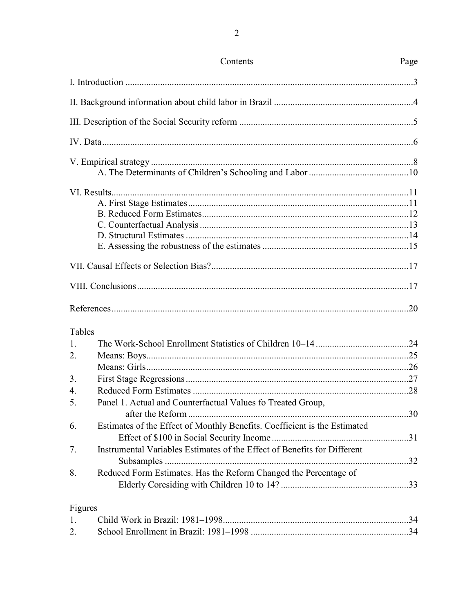|                  | Contents                                                                  | Page |
|------------------|---------------------------------------------------------------------------|------|
|                  |                                                                           |      |
|                  |                                                                           |      |
|                  |                                                                           |      |
|                  |                                                                           |      |
|                  |                                                                           |      |
|                  |                                                                           |      |
|                  |                                                                           |      |
|                  |                                                                           |      |
|                  |                                                                           |      |
|                  |                                                                           |      |
|                  |                                                                           |      |
|                  |                                                                           |      |
|                  |                                                                           |      |
|                  |                                                                           |      |
|                  |                                                                           |      |
| Tables           |                                                                           |      |
| 1.               |                                                                           |      |
| 2.               |                                                                           |      |
|                  |                                                                           |      |
| 3.               |                                                                           |      |
| $\overline{4}$ . |                                                                           |      |
| 5.               | Panel 1. Actual and Counterfactual Values fo Treated Group,               |      |
|                  |                                                                           |      |
|                  | Estimates of the Effect of Monthly Benefits. Coefficient is the Estimated |      |
| 6.               |                                                                           |      |
|                  |                                                                           |      |
| 7.               | Instrumental Variables Estimates of the Effect of Benefits for Different  |      |
| 8.               | Reduced Form Estimates. Has the Reform Changed the Percentage of          |      |
|                  |                                                                           |      |
|                  |                                                                           |      |
| Figures          |                                                                           |      |
| $1_{\cdot}$      |                                                                           |      |
| 2.               |                                                                           |      |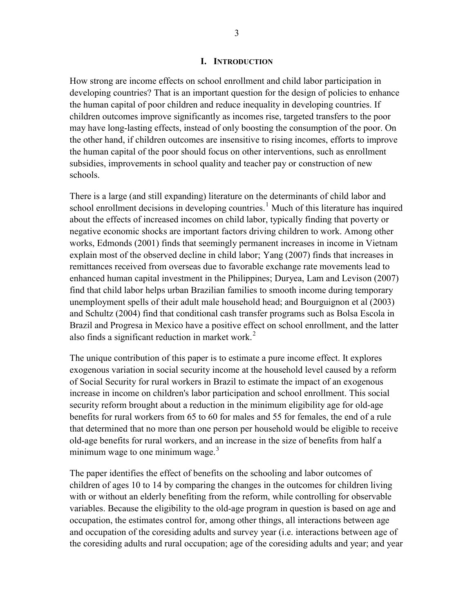#### **I. INTRODUCTION**

How strong are income effects on school enrollment and child labor participation in developing countries? That is an important question for the design of policies to enhance the human capital of poor children and reduce inequality in developing countries. If children outcomes improve significantly as incomes rise, targeted transfers to the poor may have long-lasting effects, instead of only boosting the consumption of the poor. On the other hand, if children outcomes are insensitive to rising incomes, efforts to improve the human capital of the poor should focus on other interventions, such as enrollment subsidies, improvements in school quality and teacher pay or construction of new schools.

There is a large (and still expanding) literature on the determinants of child labor and school enrollment decisions in developing countries.<sup>1</sup> Much of this literature has inquired about the effects of increased incomes on child labor, typically finding that poverty or negative economic shocks are important factors driving children to work. Among other works, Edmonds (2001) finds that seemingly permanent increases in income in Vietnam explain most of the observed decline in child labor; Yang (2007) finds that increases in remittances received from overseas due to favorable exchange rate movements lead to enhanced human capital investment in the Philippines; Duryea, Lam and Levison (2007) find that child labor helps urban Brazilian families to smooth income during temporary unemployment spells of their adult male household head; and Bourguignon et al (2003) and Schultz (2004) find that conditional cash transfer programs such as Bolsa Escola in Brazil and Progresa in Mexico have a positive effect on school enrollment, and the latter also finds a significant reduction in market work. $2$ 

The unique contribution of this paper is to estimate a pure income effect. It explores exogenous variation in social security income at the household level caused by a reform of Social Security for rural workers in Brazil to estimate the impact of an exogenous increase in income on children's labor participation and school enrollment. This social security reform brought about a reduction in the minimum eligibility age for old-age benefits for rural workers from 65 to 60 for males and 55 for females, the end of a rule that determined that no more than one person per household would be eligible to receive old-age benefits for rural workers, and an increase in the size of benefits from half a minimum wage to one minimum wage. $3$ 

The paper identifies the effect of benefits on the schooling and labor outcomes of children of ages 10 to 14 by comparing the changes in the outcomes for children living with or without an elderly benefiting from the reform, while controlling for observable variables. Because the eligibility to the old-age program in question is based on age and occupation, the estimates control for, among other things, all interactions between age and occupation of the coresiding adults and survey year (i.e. interactions between age of the coresiding adults and rural occupation; age of the coresiding adults and year; and year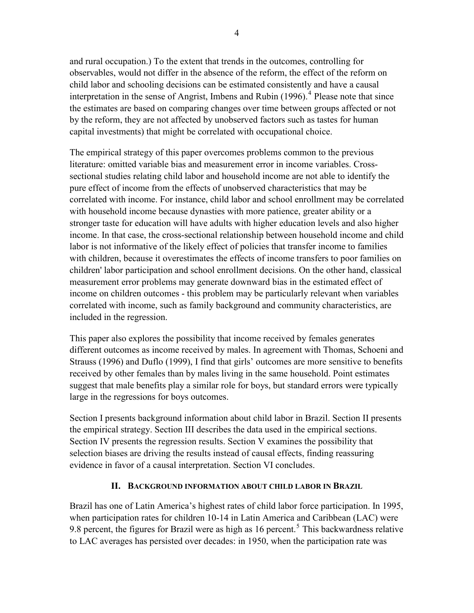and rural occupation.) To the extent that trends in the outcomes, controlling for observables, would not differ in the absence of the reform, the effect of the reform on child labor and schooling decisions can be estimated consistently and have a causal interpretation in the sense of Angrist, Imbens and Rubin  $(1996)$ .<sup>4</sup> Please note that since the estimates are based on comparing changes over time between groups affected or not by the reform, they are not affected by unobserved factors such as tastes for human capital investments) that might be correlated with occupational choice.

The empirical strategy of this paper overcomes problems common to the previous literature: omitted variable bias and measurement error in income variables. Crosssectional studies relating child labor and household income are not able to identify the pure effect of income from the effects of unobserved characteristics that may be correlated with income. For instance, child labor and school enrollment may be correlated with household income because dynasties with more patience, greater ability or a stronger taste for education will have adults with higher education levels and also higher income. In that case, the cross-sectional relationship between household income and child labor is not informative of the likely effect of policies that transfer income to families with children, because it overestimates the effects of income transfers to poor families on children' labor participation and school enrollment decisions. On the other hand, classical measurement error problems may generate downward bias in the estimated effect of income on children outcomes - this problem may be particularly relevant when variables correlated with income, such as family background and community characteristics, are included in the regression.

This paper also explores the possibility that income received by females generates different outcomes as income received by males. In agreement with Thomas, Schoeni and Strauss (1996) and Duflo (1999), I find that girls' outcomes are more sensitive to benefits received by other females than by males living in the same household. Point estimates suggest that male benefits play a similar role for boys, but standard errors were typically large in the regressions for boys outcomes.

Section I presents background information about child labor in Brazil. Section II presents the empirical strategy. Section III describes the data used in the empirical sections. Section IV presents the regression results. Section V examines the possibility that selection biases are driving the results instead of causal effects, finding reassuring evidence in favor of a causal interpretation. Section VI concludes.

# **II. BACKGROUND INFORMATION ABOUT CHILD LABOR IN BRAZIL**

Brazil has one of Latin America's highest rates of child labor force participation. In 1995, when participation rates for children 10-14 in Latin America and Caribbean (LAC) were 9.8 percent, the figures for Brazil were as high as 16 percent.<sup>5</sup> This backwardness relative to LAC averages has persisted over decades: in 1950, when the participation rate was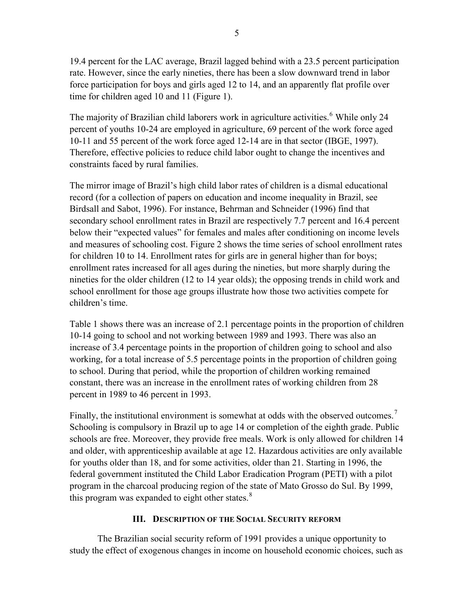19.4 percent for the LAC average, Brazil lagged behind with a 23.5 percent participation rate. However, since the early nineties, there has been a slow downward trend in labor force participation for boys and girls aged 12 to 14, and an apparently flat profile over time for children aged 10 and 11 (Figure 1).

The majority of Brazilian child laborers work in agriculture activities.<sup>6</sup> While only 24 percent of youths 10-24 are employed in agriculture, 69 percent of the work force aged 10-11 and 55 percent of the work force aged 12-14 are in that sector (IBGE, 1997). Therefore, effective policies to reduce child labor ought to change the incentives and constraints faced by rural families.

The mirror image of Brazil's high child labor rates of children is a dismal educational record (for a collection of papers on education and income inequality in Brazil, see Birdsall and Sabot, 1996). For instance, Behrman and Schneider (1996) find that secondary school enrollment rates in Brazil are respectively 7.7 percent and 16.4 percent below their "expected values" for females and males after conditioning on income levels and measures of schooling cost. Figure 2 shows the time series of school enrollment rates for children 10 to 14. Enrollment rates for girls are in general higher than for boys; enrollment rates increased for all ages during the nineties, but more sharply during the nineties for the older children (12 to 14 year olds); the opposing trends in child work and school enrollment for those age groups illustrate how those two activities compete for children's time.

Table 1 shows there was an increase of 2.1 percentage points in the proportion of children 10-14 going to school and not working between 1989 and 1993. There was also an increase of 3.4 percentage points in the proportion of children going to school and also working, for a total increase of 5.5 percentage points in the proportion of children going to school. During that period, while the proportion of children working remained constant, there was an increase in the enrollment rates of working children from 28 percent in 1989 to 46 percent in 1993.

Finally, the institutional environment is somewhat at odds with the observed outcomes.<sup>7</sup> Schooling is compulsory in Brazil up to age 14 or completion of the eighth grade. Public schools are free. Moreover, they provide free meals. Work is only allowed for children 14 and older, with apprenticeship available at age 12. Hazardous activities are only available for youths older than 18, and for some activities, older than 21. Starting in 1996, the federal government instituted the Child Labor Eradication Program (PETI) with a pilot program in the charcoal producing region of the state of Mato Grosso do Sul. By 1999, this program was expanded to eight other states. $8$ 

# **III. DESCRIPTION OF THE SOCIAL SECURITY REFORM**

The Brazilian social security reform of 1991 provides a unique opportunity to study the effect of exogenous changes in income on household economic choices, such as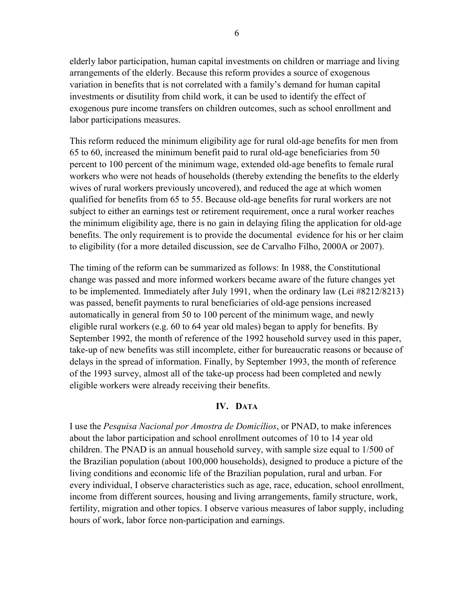elderly labor participation, human capital investments on children or marriage and living arrangements of the elderly. Because this reform provides a source of exogenous variation in benefits that is not correlated with a family's demand for human capital investments or disutility from child work, it can be used to identify the effect of exogenous pure income transfers on children outcomes, such as school enrollment and labor participations measures.

This reform reduced the minimum eligibility age for rural old-age benefits for men from 65 to 60, increased the minimum benefit paid to rural old-age beneficiaries from 50 percent to 100 percent of the minimum wage, extended old-age benefits to female rural workers who were not heads of households (thereby extending the benefits to the elderly wives of rural workers previously uncovered), and reduced the age at which women qualified for benefits from 65 to 55. Because old-age benefits for rural workers are not subject to either an earnings test or retirement requirement, once a rural worker reaches the minimum eligibility age, there is no gain in delaying filing the application for old-age benefits. The only requirement is to provide the documental evidence for his or her claim to eligibility (for a more detailed discussion, see de Carvalho Filho, 2000A or 2007).

The timing of the reform can be summarized as follows: In 1988, the Constitutional change was passed and more informed workers became aware of the future changes yet to be implemented. Immediately after July 1991, when the ordinary law (Lei #8212/8213) was passed, benefit payments to rural beneficiaries of old-age pensions increased automatically in general from 50 to 100 percent of the minimum wage, and newly eligible rural workers (e.g. 60 to 64 year old males) began to apply for benefits. By September 1992, the month of reference of the 1992 household survey used in this paper, take-up of new benefits was still incomplete, either for bureaucratic reasons or because of delays in the spread of information. Finally, by September 1993, the month of reference of the 1993 survey, almost all of the take-up process had been completed and newly eligible workers were already receiving their benefits.

### **IV.** DATA

I use the *Pesquisa Nacional por Amostra de Domicílios*, or PNAD, to make inferences about the labor participation and school enrollment outcomes of 10 to 14 year old children. The PNAD is an annual household survey, with sample size equal to 1/500 of the Brazilian population (about 100,000 households), designed to produce a picture of the living conditions and economic life of the Brazilian population, rural and urban. For every individual, I observe characteristics such as age, race, education, school enrollment, income from different sources, housing and living arrangements, family structure, work, fertility, migration and other topics. I observe various measures of labor supply, including hours of work, labor force non-participation and earnings.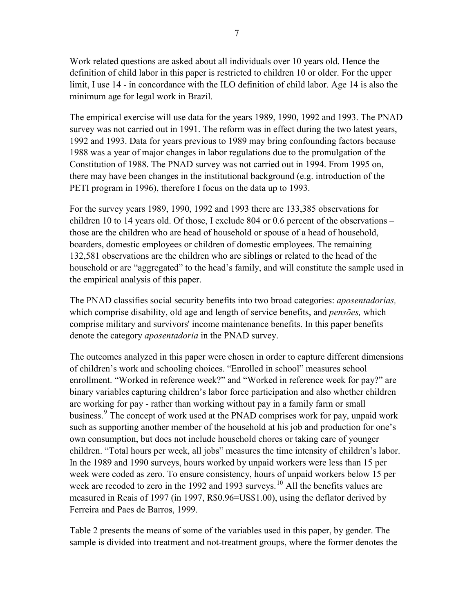Work related questions are asked about all individuals over 10 years old. Hence the definition of child labor in this paper is restricted to children 10 or older. For the upper limit, I use 14 - in concordance with the ILO definition of child labor. Age 14 is also the minimum age for legal work in Brazil.

The empirical exercise will use data for the years 1989, 1990, 1992 and 1993. The PNAD survey was not carried out in 1991. The reform was in effect during the two latest years, 1992 and 1993. Data for years previous to 1989 may bring confounding factors because 1988 was a year of major changes in labor regulations due to the promulgation of the Constitution of 1988. The PNAD survey was not carried out in 1994. From 1995 on, there may have been changes in the institutional background (e.g. introduction of the PETI program in 1996), therefore I focus on the data up to 1993.

For the survey years 1989, 1990, 1992 and 1993 there are 133,385 observations for children 10 to 14 years old. Of those, I exclude 804 or 0.6 percent of the observations – those are the children who are head of household or spouse of a head of household, boarders, domestic employees or children of domestic employees. The remaining 132,581 observations are the children who are siblings or related to the head of the household or are "aggregated" to the head's family, and will constitute the sample used in the empirical analysis of this paper.

The PNAD classifies social security benefits into two broad categories: *aposentadorias,* which comprise disability, old age and length of service benefits, and *pensões,* which comprise military and survivors' income maintenance benefits. In this paper benefits denote the category *aposentadoria* in the PNAD survey.

The outcomes analyzed in this paper were chosen in order to capture different dimensions of children's work and schooling choices. "Enrolled in school" measures school enrollment. "Worked in reference week?" and "Worked in reference week for pay?" are binary variables capturing children's labor force participation and also whether children are working for pay - rather than working without pay in a family farm or small business.<sup>9</sup> The concept of work used at the PNAD comprises work for pay, unpaid work such as supporting another member of the household at his job and production for one's own consumption, but does not include household chores or taking care of younger children. "Total hours per week, all jobs" measures the time intensity of children's labor. In the 1989 and 1990 surveys, hours worked by unpaid workers were less than 15 per week were coded as zero. To ensure consistency, hours of unpaid workers below 15 per week are recoded to zero in the 1992 and 1993 surveys.<sup>10</sup> All the benefits values are measured in Reais of 1997 (in 1997, R\$0.96=US\$1.00), using the deflator derived by Ferreira and Paes de Barros, 1999.

Table 2 presents the means of some of the variables used in this paper, by gender. The sample is divided into treatment and not-treatment groups, where the former denotes the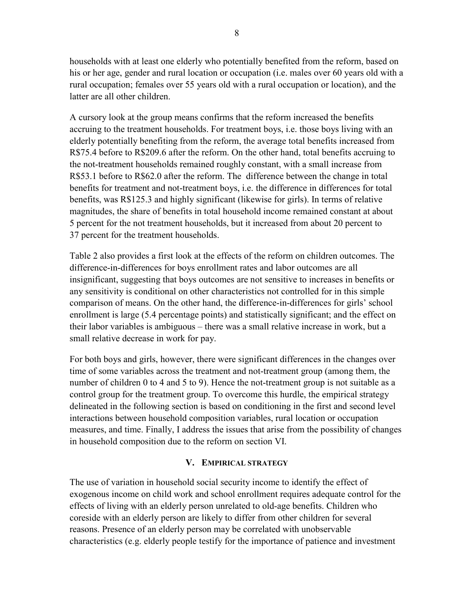households with at least one elderly who potentially benefited from the reform, based on his or her age, gender and rural location or occupation (i.e. males over 60 years old with a rural occupation; females over 55 years old with a rural occupation or location), and the latter are all other children.

A cursory look at the group means confirms that the reform increased the benefits accruing to the treatment households. For treatment boys, i.e. those boys living with an elderly potentially benefiting from the reform, the average total benefits increased from R\$75.4 before to R\$209.6 after the reform. On the other hand, total benefits accruing to the not-treatment households remained roughly constant, with a small increase from R\$53.1 before to R\$62.0 after the reform. The difference between the change in total benefits for treatment and not-treatment boys, i.e. the difference in differences for total benefits, was R\$125.3 and highly significant (likewise for girls). In terms of relative magnitudes, the share of benefits in total household income remained constant at about 5 percent for the not treatment households, but it increased from about 20 percent to 37 percent for the treatment households.

Table 2 also provides a first look at the effects of the reform on children outcomes. The difference-in-differences for boys enrollment rates and labor outcomes are all insignificant, suggesting that boys outcomes are not sensitive to increases in benefits or any sensitivity is conditional on other characteristics not controlled for in this simple comparison of means. On the other hand, the difference-in-differences for girls' school enrollment is large (5.4 percentage points) and statistically significant; and the effect on their labor variables is ambiguous – there was a small relative increase in work, but a small relative decrease in work for pay.

For both boys and girls, however, there were significant differences in the changes over time of some variables across the treatment and not-treatment group (among them, the number of children 0 to 4 and 5 to 9). Hence the not-treatment group is not suitable as a control group for the treatment group. To overcome this hurdle, the empirical strategy delineated in the following section is based on conditioning in the first and second level interactions between household composition variables, rural location or occupation measures, and time. Finally, I address the issues that arise from the possibility of changes in household composition due to the reform on section VI.

### **V. EMPIRICAL STRATEGY**

The use of variation in household social security income to identify the effect of exogenous income on child work and school enrollment requires adequate control for the effects of living with an elderly person unrelated to old-age benefits. Children who coreside with an elderly person are likely to differ from other children for several reasons. Presence of an elderly person may be correlated with unobservable characteristics (e.g. elderly people testify for the importance of patience and investment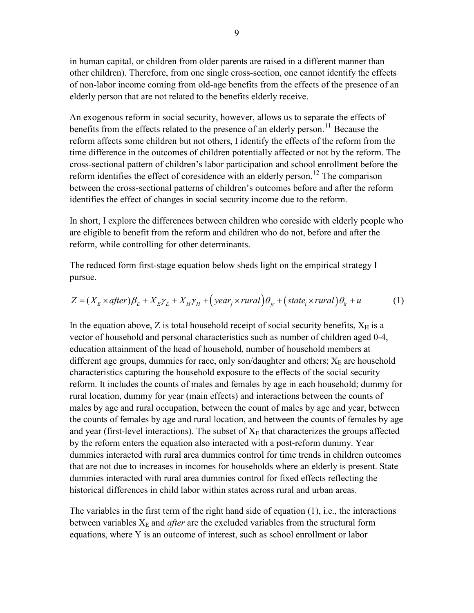in human capital, or children from older parents are raised in a different manner than other children). Therefore, from one single cross-section, one cannot identify the effects of non-labor income coming from old-age benefits from the effects of the presence of an elderly person that are not related to the benefits elderly receive.

An exogenous reform in social security, however, allows us to separate the effects of benefits from the effects related to the presence of an elderly person.<sup>11</sup> Because the reform affects some children but not others, I identify the effects of the reform from the time difference in the outcomes of children potentially affected or not by the reform. The cross-sectional pattern of children's labor participation and school enrollment before the reform identifies the effect of coresidence with an elderly person.<sup>12</sup> The comparison between the cross-sectional patterns of children's outcomes before and after the reform identifies the effect of changes in social security income due to the reform.

In short, I explore the differences between children who coreside with elderly people who are eligible to benefit from the reform and children who do not, before and after the reform, while controlling for other determinants.

The reduced form first-stage equation below sheds light on the empirical strategy I pursue.

$$
Z = (X_E \times after)\beta_E + X_E \gamma_E + X_H \gamma_H + (year_j \times rural)\theta_{jr} + (state_i \times rural)\theta_{ir} + u \tag{1}
$$

In the equation above,  $Z$  is total household receipt of social security benefits,  $X_H$  is a vector of household and personal characteristics such as number of children aged 0-4, education attainment of the head of household, number of household members at different age groups, dummies for race, only son/daughter and others;  $X_E$  are household characteristics capturing the household exposure to the effects of the social security reform. It includes the counts of males and females by age in each household; dummy for rural location, dummy for year (main effects) and interactions between the counts of males by age and rural occupation, between the count of males by age and year, between the counts of females by age and rural location, and between the counts of females by age and year (first-level interactions). The subset of  $X<sub>E</sub>$  that characterizes the groups affected by the reform enters the equation also interacted with a post-reform dummy. Year dummies interacted with rural area dummies control for time trends in children outcomes that are not due to increases in incomes for households where an elderly is present. State dummies interacted with rural area dummies control for fixed effects reflecting the historical differences in child labor within states across rural and urban areas.

The variables in the first term of the right hand side of equation (1), i.e., the interactions between variables  $X_E$  and *after* are the excluded variables from the structural form equations, where Y is an outcome of interest, such as school enrollment or labor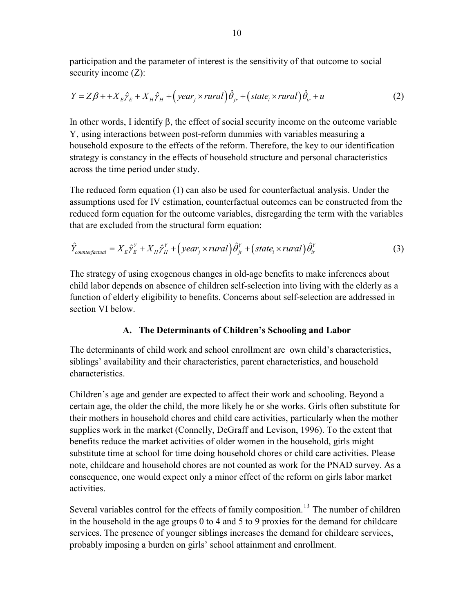participation and the parameter of interest is the sensitivity of that outcome to social security income  $(Z)$ :

$$
Y = Z\beta + \frac{1}{E}\hat{Y}_E + X_H\hat{Y}_H + \left(\text{year}_j \times \text{rural}\right)\hat{\theta}_{jr} + \left(\text{state}_i \times \text{rural}\right)\hat{\theta}_{ir} + u \tag{2}
$$

In other words, I identify β, the effect of social security income on the outcome variable Y, using interactions between post-reform dummies with variables measuring a household exposure to the effects of the reform. Therefore, the key to our identification strategy is constancy in the effects of household structure and personal characteristics across the time period under study.

The reduced form equation (1) can also be used for counterfactual analysis. Under the assumptions used for IV estimation, counterfactual outcomes can be constructed from the reduced form equation for the outcome variables, disregarding the term with the variables that are excluded from the structural form equation:

$$
\hat{Y}_{counterfactual} = X_E \hat{\gamma}_E^Y + X_H \hat{\gamma}_H^Y + \left( \text{year}_j \times \text{rural} \right) \hat{\theta}_{jr}^Y + \left( \text{state}_i \times \text{rural} \right) \hat{\theta}_{ir}^Y \tag{3}
$$

The strategy of using exogenous changes in old-age benefits to make inferences about child labor depends on absence of children self-selection into living with the elderly as a function of elderly eligibility to benefits. Concerns about self-selection are addressed in section VI below.

# A. The Determinants of Children's Schooling and Labor

The determinants of child work and school enrollment are own child's characteristics, siblings' availability and their characteristics, parent characteristics, and household characteristics.

Children's age and gender are expected to affect their work and schooling. Beyond a certain age, the older the child, the more likely he or she works. Girls often substitute for their mothers in household chores and child care activities, particularly when the mother supplies work in the market (Connelly, DeGraff and Levison, 1996). To the extent that benefits reduce the market activities of older women in the household, girls might substitute time at school for time doing household chores or child care activities. Please note, childcare and household chores are not counted as work for the PNAD survey. As a consequence, one would expect only a minor effect of the reform on girls labor market activities.

Several variables control for the effects of family composition.<sup>13</sup> The number of children in the household in the age groups 0 to 4 and 5 to 9 proxies for the demand for childcare services. The presence of younger siblings increases the demand for childcare services, probably imposing a burden on girls' school attainment and enrollment.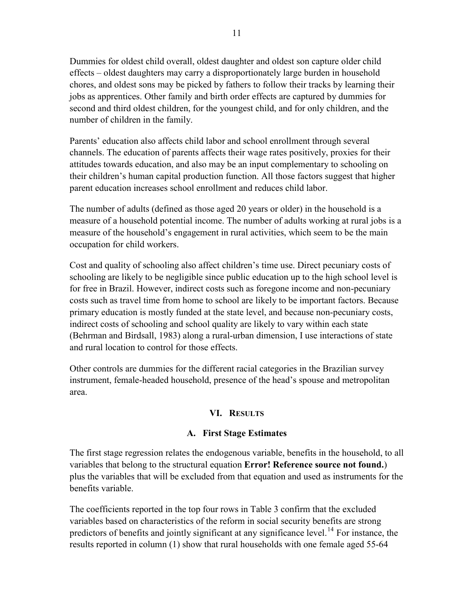Dummies for oldest child overall, oldest daughter and oldest son capture older child effects – oldest daughters may carry a disproportionately large burden in household chores, and oldest sons may be picked by fathers to follow their tracks by learning their jobs as apprentices. Other family and birth order effects are captured by dummies for second and third oldest children, for the youngest child, and for only children, and the number of children in the family.

Parents' education also affects child labor and school enrollment through several channels. The education of parents affects their wage rates positively, proxies for their attitudes towards education, and also may be an input complementary to schooling on their children's human capital production function. All those factors suggest that higher parent education increases school enrollment and reduces child labor.

The number of adults (defined as those aged 20 years or older) in the household is a measure of a household potential income. The number of adults working at rural jobs is a measure of the household's engagement in rural activities, which seem to be the main occupation for child workers.

Cost and quality of schooling also affect children's time use. Direct pecuniary costs of schooling are likely to be negligible since public education up to the high school level is for free in Brazil. However, indirect costs such as foregone income and non-pecuniary costs such as travel time from home to school are likely to be important factors. Because primary education is mostly funded at the state level, and because non-pecuniary costs, indirect costs of schooling and school quality are likely to vary within each state (Behrman and Birdsall, 1983) along a rural-urban dimension, I use interactions of state and rural location to control for those effects.

Other controls are dummies for the different racial categories in the Brazilian survey instrument, female-headed household, presence of the head's spouse and metropolitan area.

# **VI. RESULTS**

# **A.** First Stage Estimates

The first stage regression relates the endogenous variable, benefits in the household, to all variables that belong to the structural equation **Error! Reference source not found.**) plus the variables that will be excluded from that equation and used as instruments for the benefits variable.

The coefficients reported in the top four rows in Table 3 confirm that the excluded variables based on characteristics of the reform in social security benefits are strong predictors of benefits and jointly significant at any significance level.<sup>14</sup> For instance, the results reported in column (1) show that rural households with one female aged 55-64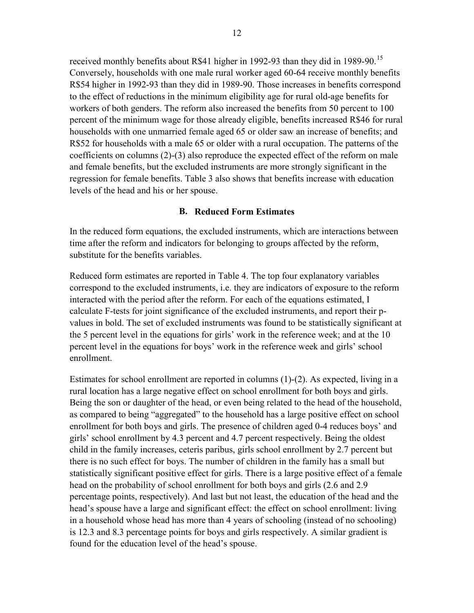received monthly benefits about R\$41 higher in 1992-93 than they did in 1989-90.<sup>15</sup> Conversely, households with one male rural worker aged 60-64 receive monthly benefits R\$54 higher in 1992-93 than they did in 1989-90. Those increases in benefits correspond to the effect of reductions in the minimum eligibility age for rural old-age benefits for workers of both genders. The reform also increased the benefits from 50 percent to 100 percent of the minimum wage for those already eligible, benefits increased R\$46 for rural households with one unmarried female aged 65 or older saw an increase of benefits; and R\$52 for households with a male 65 or older with a rural occupation. The patterns of the coefficients on columns (2)-(3) also reproduce the expected effect of the reform on male and female benefits, but the excluded instruments are more strongly significant in the regression for female benefits. Table 3 also shows that benefits increase with education levels of the head and his or her spouse.

#### **B.** Reduced Form Estimates

In the reduced form equations, the excluded instruments, which are interactions between time after the reform and indicators for belonging to groups affected by the reform, substitute for the benefits variables.

Reduced form estimates are reported in Table 4. The top four explanatory variables correspond to the excluded instruments, i.e. they are indicators of exposure to the reform interacted with the period after the reform. For each of the equations estimated, I calculate F-tests for joint significance of the excluded instruments, and report their pvalues in bold. The set of excluded instruments was found to be statistically significant at the 5 percent level in the equations for girls' work in the reference week; and at the 10 percent level in the equations for boys' work in the reference week and girls' school enrollment.

Estimates for school enrollment are reported in columns (1)-(2). As expected, living in a rural location has a large negative effect on school enrollment for both boys and girls. Being the son or daughter of the head, or even being related to the head of the household, as compared to being "aggregated" to the household has a large positive effect on school enrollment for both boys and girls. The presence of children aged 0-4 reduces boys' and girls' school enrollment by 4.3 percent and 4.7 percent respectively. Being the oldest child in the family increases, ceteris paribus, girls school enrollment by 2.7 percent but there is no such effect for boys. The number of children in the family has a small but statistically significant positive effect for girls. There is a large positive effect of a female head on the probability of school enrollment for both boys and girls (2.6 and 2.9 percentage points, respectively). And last but not least, the education of the head and the head's spouse have a large and significant effect: the effect on school enrollment: living in a household whose head has more than 4 years of schooling (instead of no schooling) is 12.3 and 8.3 percentage points for boys and girls respectively. A similar gradient is found for the education level of the head's spouse.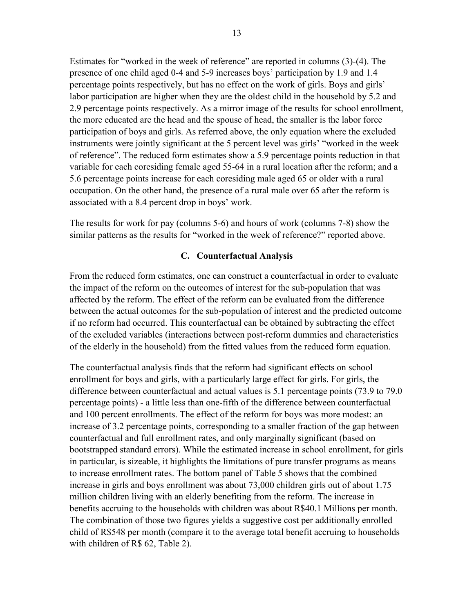Estimates for "worked in the week of reference" are reported in columns (3)-(4). The presence of one child aged 0-4 and 5-9 increases boys' participation by 1.9 and 1.4 percentage points respectively, but has no effect on the work of girls. Boys and girls' labor participation are higher when they are the oldest child in the household by 5.2 and 2.9 percentage points respectively. As a mirror image of the results for school enrollment, the more educated are the head and the spouse of head, the smaller is the labor force participation of boys and girls. As referred above, the only equation where the excluded instruments were jointly significant at the 5 percent level was girls' "worked in the week of reference". The reduced form estimates show a 5.9 percentage points reduction in that variable for each coresiding female aged 55-64 in a rural location after the reform; and a 5.6 percentage points increase for each coresiding male aged 65 or older with a rural occupation. On the other hand, the presence of a rural male over 65 after the reform is associated with a 8.4 percent drop in boys' work.

The results for work for pay (columns 5-6) and hours of work (columns 7-8) show the similar patterns as the results for "worked in the week of reference?" reported above.

### **C.** Counterfactual Analysis

From the reduced form estimates, one can construct a counterfactual in order to evaluate the impact of the reform on the outcomes of interest for the sub-population that was affected by the reform. The effect of the reform can be evaluated from the difference between the actual outcomes for the sub-population of interest and the predicted outcome if no reform had occurred. This counterfactual can be obtained by subtracting the effect of the excluded variables (interactions between post-reform dummies and characteristics of the elderly in the household) from the fitted values from the reduced form equation.

The counterfactual analysis finds that the reform had significant effects on school enrollment for boys and girls, with a particularly large effect for girls. For girls, the difference between counterfactual and actual values is 5.1 percentage points (73.9 to 79.0 percentage points) - a little less than one-fifth of the difference between counterfactual and 100 percent enrollments. The effect of the reform for boys was more modest: an increase of 3.2 percentage points, corresponding to a smaller fraction of the gap between counterfactual and full enrollment rates, and only marginally significant (based on bootstrapped standard errors). While the estimated increase in school enrollment, for girls in particular, is sizeable, it highlights the limitations of pure transfer programs as means to increase enrollment rates. The bottom panel of Table 5 shows that the combined increase in girls and boys enrollment was about 73,000 children girls out of about 1.75 million children living with an elderly benefiting from the reform. The increase in benefits accruing to the households with children was about R\$40.1 Millions per month. The combination of those two figures yields a suggestive cost per additionally enrolled child of R\$548 per month (compare it to the average total benefit accruing to households with children of R\$ 62, Table 2).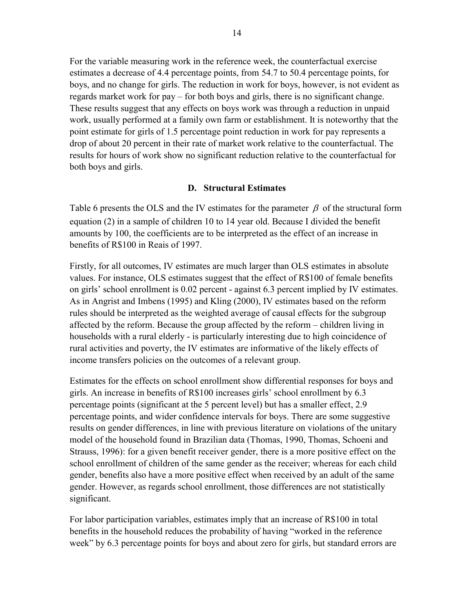For the variable measuring work in the reference week, the counterfactual exercise estimates a decrease of 4.4 percentage points, from 54.7 to 50.4 percentage points, for boys, and no change for girls. The reduction in work for boys, however, is not evident as regards market work for pay – for both boys and girls, there is no significant change. These results suggest that any effects on boys work was through a reduction in unpaid work, usually performed at a family own farm or establishment. It is noteworthy that the point estimate for girls of 1.5 percentage point reduction in work for pay represents a drop of about 20 percent in their rate of market work relative to the counterfactual. The results for hours of work show no significant reduction relative to the counterfactual for both boys and girls.

### **D.** Structural Estimates

Table 6 presents the OLS and the IV estimates for the parameter  $\beta$  of the structural form equation (2) in a sample of children 10 to 14 year old. Because I divided the benefit amounts by 100, the coefficients are to be interpreted as the effect of an increase in benefits of R\$100 in Reais of 1997.

Firstly, for all outcomes, IV estimates are much larger than OLS estimates in absolute values. For instance, OLS estimates suggest that the effect of R\$100 of female benefits on girls' school enrollment is 0.02 percent - against 6.3 percent implied by IV estimates. As in Angrist and Imbens (1995) and Kling (2000), IV estimates based on the reform rules should be interpreted as the weighted average of causal effects for the subgroup affected by the reform. Because the group affected by the reform – children living in households with a rural elderly - is particularly interesting due to high coincidence of rural activities and poverty, the IV estimates are informative of the likely effects of income transfers policies on the outcomes of a relevant group.

Estimates for the effects on school enrollment show differential responses for boys and girls. An increase in benefits of R\$100 increases girls' school enrollment by 6.3 percentage points (significant at the 5 percent level) but has a smaller effect, 2.9 percentage points, and wider confidence intervals for boys. There are some suggestive results on gender differences, in line with previous literature on violations of the unitary model of the household found in Brazilian data (Thomas, 1990, Thomas, Schoeni and Strauss, 1996): for a given benefit receiver gender, there is a more positive effect on the school enrollment of children of the same gender as the receiver; whereas for each child gender, benefits also have a more positive effect when received by an adult of the same gender. However, as regards school enrollment, those differences are not statistically significant.

For labor participation variables, estimates imply that an increase of R\$100 in total benefits in the household reduces the probability of having "worked in the reference week" by 6.3 percentage points for boys and about zero for girls, but standard errors are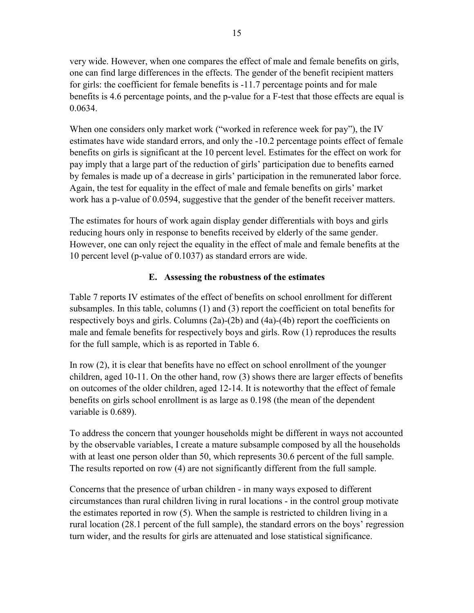very wide. However, when one compares the effect of male and female benefits on girls, one can find large differences in the effects. The gender of the benefit recipient matters for girls: the coefficient for female benefits is -11.7 percentage points and for male benefits is 4.6 percentage points, and the p-value for a F-test that those effects are equal is 0.0634.

When one considers only market work ("worked in reference week for pay"), the IV estimates have wide standard errors, and only the -10.2 percentage points effect of female benefits on girls is significant at the 10 percent level. Estimates for the effect on work for pay imply that a large part of the reduction of girls' participation due to benefits earned by females is made up of a decrease in girls' participation in the remunerated labor force. Again, the test for equality in the effect of male and female benefits on girls' market work has a p-value of 0.0594, suggestive that the gender of the benefit receiver matters.

The estimates for hours of work again display gender differentials with boys and girls reducing hours only in response to benefits received by elderly of the same gender. However, one can only reject the equality in the effect of male and female benefits at the 10 percent level (p-value of 0.1037) as standard errors are wide.

# E. Assessing the robustness of the estimates

Table 7 reports IV estimates of the effect of benefits on school enrollment for different subsamples. In this table, columns (1) and (3) report the coefficient on total benefits for respectively boys and girls. Columns (2a)-(2b) and (4a)-(4b) report the coefficients on male and female benefits for respectively boys and girls. Row (1) reproduces the results for the full sample, which is as reported in Table 6.

In row (2), it is clear that benefits have no effect on school enrollment of the younger children, aged 10-11. On the other hand, row (3) shows there are larger effects of benefits on outcomes of the older children, aged 12-14. It is noteworthy that the effect of female benefits on girls school enrollment is as large as 0.198 (the mean of the dependent variable is 0.689).

To address the concern that younger households might be different in ways not accounted by the observable variables, I create a mature subsample composed by all the households with at least one person older than 50, which represents 30.6 percent of the full sample. The results reported on row (4) are not significantly different from the full sample.

Concerns that the presence of urban children - in many ways exposed to different circumstances than rural children living in rural locations - in the control group motivate the estimates reported in row (5). When the sample is restricted to children living in a rural location (28.1 percent of the full sample), the standard errors on the boys' regression turn wider, and the results for girls are attenuated and lose statistical significance.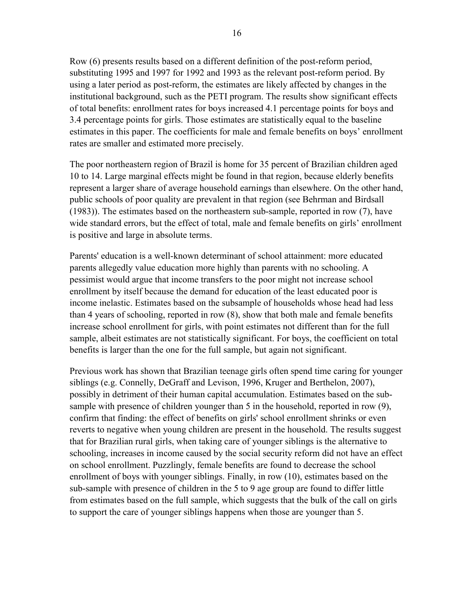Row (6) presents results based on a different definition of the post-reform period, substituting 1995 and 1997 for 1992 and 1993 as the relevant post-reform period. By using a later period as post-reform, the estimates are likely affected by changes in the institutional background, such as the PETI program. The results show significant effects of total benefits: enrollment rates for boys increased 4.1 percentage points for boys and 3.4 percentage points for girls. Those estimates are statistically equal to the baseline estimates in this paper. The coefficients for male and female benefits on boys' enrollment rates are smaller and estimated more precisely.

The poor northeastern region of Brazil is home for 35 percent of Brazilian children aged 10 to 14. Large marginal effects might be found in that region, because elderly benefits represent a larger share of average household earnings than elsewhere. On the other hand, public schools of poor quality are prevalent in that region (see Behrman and Birdsall (1983)). The estimates based on the northeastern sub-sample, reported in row (7), have wide standard errors, but the effect of total, male and female benefits on girls' enrollment is positive and large in absolute terms.

Parents' education is a well-known determinant of school attainment: more educated parents allegedly value education more highly than parents with no schooling. A pessimist would argue that income transfers to the poor might not increase school enrollment by itself because the demand for education of the least educated poor is income inelastic. Estimates based on the subsample of households whose head had less than 4 years of schooling, reported in row (8), show that both male and female benefits increase school enrollment for girls, with point estimates not different than for the full sample, albeit estimates are not statistically significant. For boys, the coefficient on total benefits is larger than the one for the full sample, but again not significant.

Previous work has shown that Brazilian teenage girls often spend time caring for younger siblings (e.g. Connelly, DeGraff and Levison, 1996, Kruger and Berthelon, 2007), possibly in detriment of their human capital accumulation. Estimates based on the subsample with presence of children younger than 5 in the household, reported in row (9), confirm that finding: the effect of benefits on girls' school enrollment shrinks or even reverts to negative when young children are present in the household. The results suggest that for Brazilian rural girls, when taking care of younger siblings is the alternative to schooling, increases in income caused by the social security reform did not have an effect on school enrollment. Puzzlingly, female benefits are found to decrease the school enrollment of boys with younger siblings. Finally, in row (10), estimates based on the sub-sample with presence of children in the 5 to 9 age group are found to differ little from estimates based on the full sample, which suggests that the bulk of the call on girls to support the care of younger siblings happens when those are younger than 5.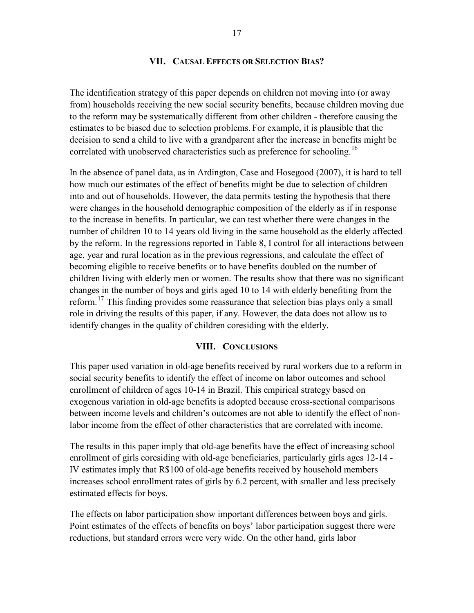#### **VII. CAUSAL EFFECTS OR SELECTION BIAS?**

The identification strategy of this paper depends on children not moving into (or away from) households receiving the new social security benefits, because children moving due to the reform may be systematically different from other children - therefore causing the estimates to be biased due to selection problems. For example, it is plausible that the decision to send a child to live with a grandparent after the increase in benefits might be correlated with unobserved characteristics such as preference for schooling.<sup>16</sup>

In the absence of panel data, as in Ardington, Case and Hosegood (2007), it is hard to tell how much our estimates of the effect of benefits might be due to selection of children into and out of households. However, the data permits testing the hypothesis that there were changes in the household demographic composition of the elderly as if in response to the increase in benefits. In particular, we can test whether there were changes in the number of children 10 to 14 years old living in the same household as the elderly affected by the reform. In the regressions reported in Table 8, I control for all interactions between age, year and rural location as in the previous regressions, and calculate the effect of becoming eligible to receive benefits or to have benefits doubled on the number of children living with elderly men or women. The results show that there was no significant changes in the number of boys and girls aged 10 to 14 with elderly benefiting from the reform.<sup>17</sup> This finding provides some reassurance that selection bias plays only a small role in driving the results of this paper, if any. However, the data does not allow us to identify changes in the quality of children coresiding with the elderly.

#### **VIII. CONCLUSIONS**

This paper used variation in old-age benefits received by rural workers due to a reform in social security benefits to identify the effect of income on labor outcomes and school enrollment of children of ages 10-14 in Brazil. This empirical strategy based on exogenous variation in old-age benefits is adopted because cross-sectional comparisons between income levels and children's outcomes are not able to identify the effect of nonlabor income from the effect of other characteristics that are correlated with income.

The results in this paper imply that old-age benefits have the effect of increasing school enrollment of girls coresiding with old-age beneficiaries, particularly girls ages 12-14 - IV estimates imply that R\$100 of old-age benefits received by household members increases school enrollment rates of girls by 6.2 percent, with smaller and less precisely estimated effects for boys.

The effects on labor participation show important differences between boys and girls. Point estimates of the effects of benefits on boys' labor participation suggest there were reductions, but standard errors were very wide. On the other hand, girls labor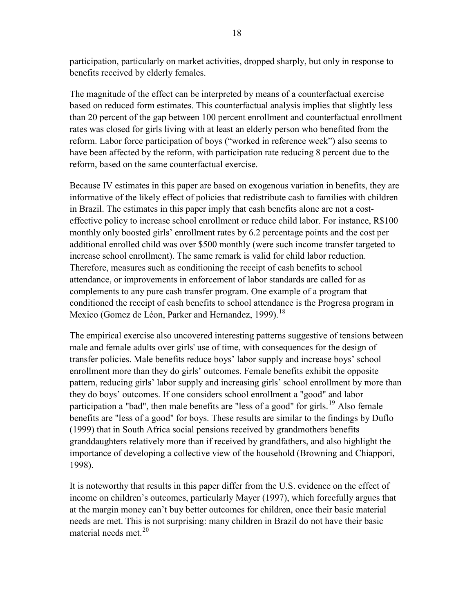participation, particularly on market activities, dropped sharply, but only in response to benefits received by elderly females.

The magnitude of the effect can be interpreted by means of a counterfactual exercise based on reduced form estimates. This counterfactual analysis implies that slightly less than 20 percent of the gap between 100 percent enrollment and counterfactual enrollment rates was closed for girls living with at least an elderly person who benefited from the reform. Labor force participation of boys ("worked in reference week") also seems to have been affected by the reform, with participation rate reducing 8 percent due to the reform, based on the same counterfactual exercise.

Because IV estimates in this paper are based on exogenous variation in benefits, they are informative of the likely effect of policies that redistribute cash to families with children in Brazil. The estimates in this paper imply that cash benefits alone are not a costeffective policy to increase school enrollment or reduce child labor. For instance, R\$100 monthly only boosted girls' enrollment rates by 6.2 percentage points and the cost per additional enrolled child was over \$500 monthly (were such income transfer targeted to increase school enrollment). The same remark is valid for child labor reduction. Therefore, measures such as conditioning the receipt of cash benefits to school attendance, or improvements in enforcement of labor standards are called for as complements to any pure cash transfer program. One example of a program that conditioned the receipt of cash benefits to school attendance is the Progresa program in Mexico (Gomez de Léon, Parker and Hernandez, 1999).<sup>18</sup>

The empirical exercise also uncovered interesting patterns suggestive of tensions between male and female adults over girls' use of time, with consequences for the design of transfer policies. Male benefits reduce boys' labor supply and increase boys' school enrollment more than they do girls' outcomes. Female benefits exhibit the opposite pattern, reducing girls' labor supply and increasing girls' school enrollment by more than they do boys' outcomes. If one considers school enrollment a "good" and labor participation a "bad", then male benefits are "less of a good" for girls.<sup>19</sup> Also female benefits are "less of a good" for boys. These results are similar to the findings by Duflo (1999) that in South Africa social pensions received by grandmothers benefits granddaughters relatively more than if received by grandfathers, and also highlight the importance of developing a collective view of the household (Browning and Chiappori, 1998).

It is noteworthy that results in this paper differ from the U.S. evidence on the effect of income on children's outcomes, particularly Mayer (1997), which forcefully argues that at the margin money can't buy better outcomes for children, once their basic material needs are met. This is not surprising: many children in Brazil do not have their basic material needs met.<sup>20</sup>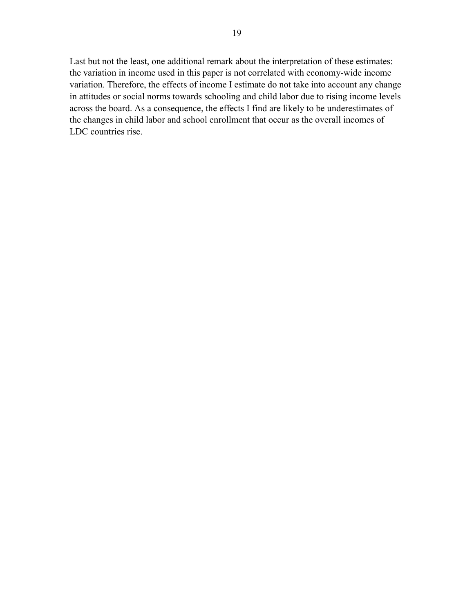Last but not the least, one additional remark about the interpretation of these estimates: the variation in income used in this paper is not correlated with economy-wide income variation. Therefore, the effects of income I estimate do not take into account any change in attitudes or social norms towards schooling and child labor due to rising income levels across the board. As a consequence, the effects I find are likely to be underestimates of the changes in child labor and school enrollment that occur as the overall incomes of LDC countries rise.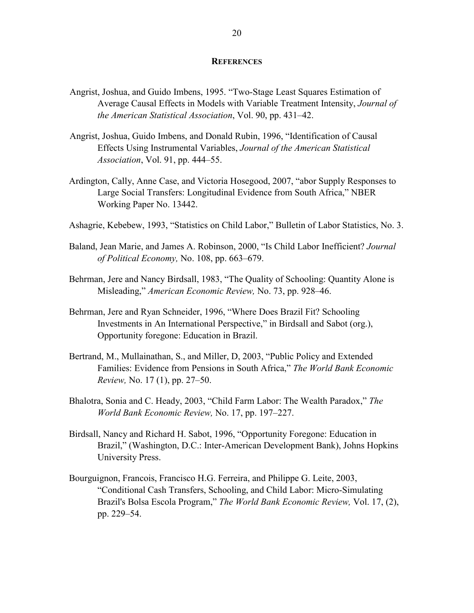#### **REFERENCES**

- Angrist, Joshua, and Guido Imbens, 1995. "Two-Stage Least Squares Estimation of Average Causal Effects in Models with Variable Treatment Intensity, *Journal of the American Statistical Association*, Vol. 90, pp. 431–42.
- Angrist, Joshua, Guido Imbens, and Donald Rubin, 1996, "Identification of Causal Effects Using Instrumental Variables, *Journal of the American Statistical Association*, Vol. 91, pp. 444–55.
- Ardington, Cally, Anne Case, and Victoria Hosegood, 2007, "abor Supply Responses to Large Social Transfers: Longitudinal Evidence from South Africa," NBER Working Paper No. 13442.
- Ashagrie, Kebebew, 1993, "Statistics on Child Labor," Bulletin of Labor Statistics, No. 3.
- Baland, Jean Marie, and James A. Robinson, 2000, "Is Child Labor Inefficient? *Journal of Political Economy,* No. 108, pp. 663–679.
- Behrman, Jere and Nancy Birdsall, 1983, "The Quality of Schooling: Quantity Alone is Misleading," *American Economic Review,* No. 73, pp. 928–46.
- Behrman, Jere and Ryan Schneider, 1996, "Where Does Brazil Fit? Schooling Investments in An International Perspective," in Birdsall and Sabot (org.), Opportunity foregone: Education in Brazil.
- Bertrand, M., Mullainathan, S., and Miller, D, 2003, "Public Policy and Extended Families: Evidence from Pensions in South Africa," *The World Bank Economic Review,* No. 17 (1), pp. 27–50.
- Bhalotra, Sonia and C. Heady, 2003, "Child Farm Labor: The Wealth Paradox," *The World Bank Economic Review,* No. 17, pp. 197–227.
- Birdsall, Nancy and Richard H. Sabot, 1996, "Opportunity Foregone: Education in Brazil," (Washington, D.C.: Inter-American Development Bank), Johns Hopkins University Press.
- Bourguignon, Francois, Francisco H.G. Ferreira, and Philippe G. Leite, 2003, "Conditional Cash Transfers, Schooling, and Child Labor: Micro-Simulating Brazil's Bolsa Escola Program," *The World Bank Economic Review,* Vol. 17, (2), pp. 229–54.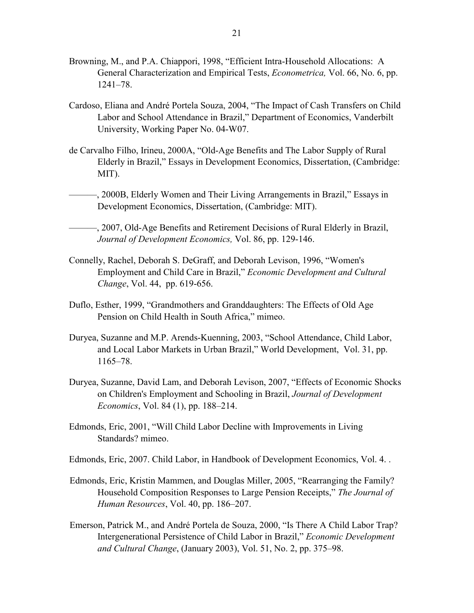- Browning, M., and P.A. Chiappori, 1998, "Efficient Intra-Household Allocations: A General Characterization and Empirical Tests, *Econometrica,* Vol. 66, No. 6, pp. 1241–78.
- Cardoso, Eliana and André Portela Souza, 2004, "The Impact of Cash Transfers on Child Labor and School Attendance in Brazil," Department of Economics, Vanderbilt University, Working Paper No. 04-W07.
- de Carvalho Filho, Irineu, 2000A, "Old-Age Benefits and The Labor Supply of Rural Elderly in Brazil," Essays in Development Economics, Dissertation, (Cambridge: MIT).
	- ———, 2000B, Elderly Women and Their Living Arrangements in Brazil," Essays in Development Economics, Dissertation, (Cambridge: MIT).

———, 2007, Old-Age Benefits and Retirement Decisions of Rural Elderly in Brazil, *Journal of Development Economics,* Vol. 86, pp. 129-146.

- Connelly, Rachel, Deborah S. DeGraff, and Deborah Levison, 1996, "Women's Employment and Child Care in Brazil," *Economic Development and Cultural Change*, Vol. 44, pp. 619-656.
- Duflo, Esther, 1999, "Grandmothers and Granddaughters: The Effects of Old Age Pension on Child Health in South Africa," mimeo.
- Duryea, Suzanne and M.P. Arends-Kuenning, 2003, "School Attendance, Child Labor, and Local Labor Markets in Urban Brazil," World Development, Vol. 31, pp. 1165–78.
- Duryea, Suzanne, David Lam, and Deborah Levison, 2007, "Effects of Economic Shocks on Children's Employment and Schooling in Brazil, *Journal of Development Economics*, Vol. 84 (1), pp. 188–214.
- Edmonds, Eric, 2001, "Will Child Labor Decline with Improvements in Living Standards? mimeo.
- Edmonds, Eric, 2007. Child Labor, in Handbook of Development Economics, Vol. 4. .
- Edmonds, Eric, Kristin Mammen, and Douglas Miller, 2005, "Rearranging the Family? Household Composition Responses to Large Pension Receipts," *The Journal of Human Resources*, Vol. 40, pp. 186–207.
- Emerson, Patrick M., and André Portela de Souza, 2000, "Is There A Child Labor Trap? Intergenerational Persistence of Child Labor in Brazil," *Economic Development and Cultural Change*, (January 2003), Vol. 51, No. 2, pp. 375–98.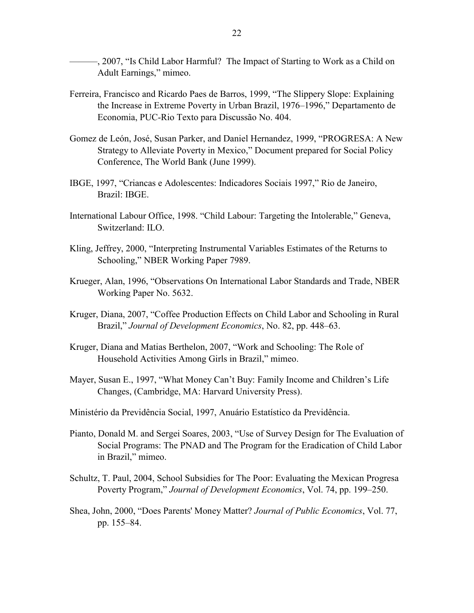-, 2007, "Is Child Labor Harmful? The Impact of Starting to Work as a Child on Adult Earnings," mimeo.

- Ferreira, Francisco and Ricardo Paes de Barros, 1999, "The Slippery Slope: Explaining the Increase in Extreme Poverty in Urban Brazil, 1976–1996," Departamento de Economia, PUC-Rio Texto para Discussão No. 404.
- Gomez de León, José, Susan Parker, and Daniel Hernandez, 1999, "PROGRESA: A New Strategy to Alleviate Poverty in Mexico," Document prepared for Social Policy Conference, The World Bank (June 1999).
- IBGE, 1997, "Criancas e Adolescentes: Indicadores Sociais 1997," Rio de Janeiro, Brazil: IBGE.
- International Labour Office, 1998. "Child Labour: Targeting the Intolerable," Geneva, Switzerland: ILO.
- Kling, Jeffrey, 2000, "Interpreting Instrumental Variables Estimates of the Returns to Schooling," NBER Working Paper 7989.
- Krueger, Alan, 1996, "Observations On International Labor Standards and Trade, NBER Working Paper No. 5632.
- Kruger, Diana, 2007, "Coffee Production Effects on Child Labor and Schooling in Rural Brazil," *Journal of Development Economics*, No. 82, pp. 448–63.
- Kruger, Diana and Matias Berthelon, 2007, "Work and Schooling: The Role of Household Activities Among Girls in Brazil," mimeo.
- Mayer, Susan E., 1997, "What Money Can't Buy: Family Income and Children's Life Changes, (Cambridge, MA: Harvard University Press).
- Ministério da Previdência Social, 1997, Anuário Estatístico da Previdência.
- Pianto, Donald M. and Sergei Soares, 2003, "Use of Survey Design for The Evaluation of Social Programs: The PNAD and The Program for the Eradication of Child Labor in Brazil," mimeo.
- Schultz, T. Paul, 2004, School Subsidies for The Poor: Evaluating the Mexican Progresa Poverty Program," *Journal of Development Economics*, Vol. 74, pp. 199–250.
- Shea, John, 2000, "Does Parents' Money Matter? *Journal of Public Economics*, Vol. 77, pp. 155–84.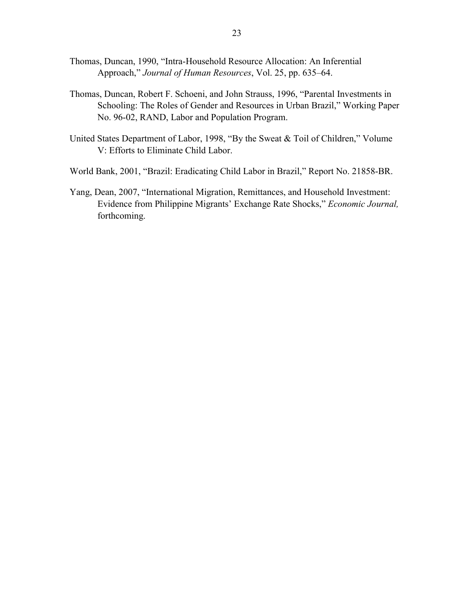- Thomas, Duncan, 1990, "Intra-Household Resource Allocation: An Inferential Approach," *Journal of Human Resources*, Vol. 25, pp. 635–64.
- Thomas, Duncan, Robert F. Schoeni, and John Strauss, 1996, "Parental Investments in Schooling: The Roles of Gender and Resources in Urban Brazil," Working Paper No. 96-02, RAND, Labor and Population Program.
- United States Department of Labor, 1998, "By the Sweat & Toil of Children," Volume V: Efforts to Eliminate Child Labor.

World Bank, 2001, "Brazil: Eradicating Child Labor in Brazil," Report No. 21858-BR.

Yang, Dean, 2007, "International Migration, Remittances, and Household Investment: Evidence from Philippine Migrants' Exchange Rate Shocks," *Economic Journal,*  forthcoming.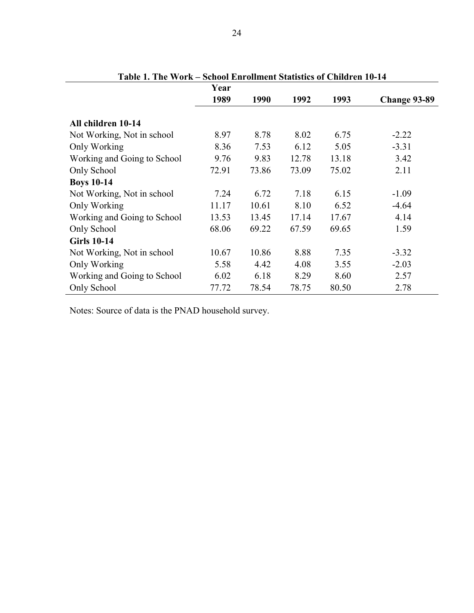| Tavit 1. The Work – School Embiliarie Statistics of Children To-14 | Year  |       |       |       |              |
|--------------------------------------------------------------------|-------|-------|-------|-------|--------------|
|                                                                    | 1989  | 1990  | 1992  | 1993  | Change 93-89 |
| All children 10-14                                                 |       |       |       |       |              |
| Not Working, Not in school                                         | 8.97  | 8.78  | 8.02  | 6.75  | $-2.22$      |
| Only Working                                                       | 8.36  | 7.53  | 6.12  | 5.05  | $-3.31$      |
| Working and Going to School                                        | 9.76  | 9.83  | 12.78 | 13.18 | 3.42         |
| Only School                                                        | 72.91 | 73.86 | 73.09 | 75.02 | 2.11         |
| <b>Boys 10-14</b>                                                  |       |       |       |       |              |
| Not Working, Not in school                                         | 7.24  | 6.72  | 7.18  | 6.15  | $-1.09$      |
| Only Working                                                       | 11.17 | 10.61 | 8.10  | 6.52  | $-4.64$      |
| Working and Going to School                                        | 13.53 | 13.45 | 17.14 | 17.67 | 4.14         |
| Only School                                                        | 68.06 | 69.22 | 67.59 | 69.65 | 1.59         |
| <b>Girls 10-14</b>                                                 |       |       |       |       |              |
| Not Working, Not in school                                         | 10.67 | 10.86 | 8.88  | 7.35  | $-3.32$      |
| Only Working                                                       | 5.58  | 4.42  | 4.08  | 3.55  | $-2.03$      |
| Working and Going to School                                        | 6.02  | 6.18  | 8.29  | 8.60  | 2.57         |
| Only School                                                        | 77.72 | 78.54 | 78.75 | 80.50 | 2.78         |

**Table 1. The Work – School Enrollment Statistics of Children 10-14** 

Notes: Source of data is the PNAD household survey.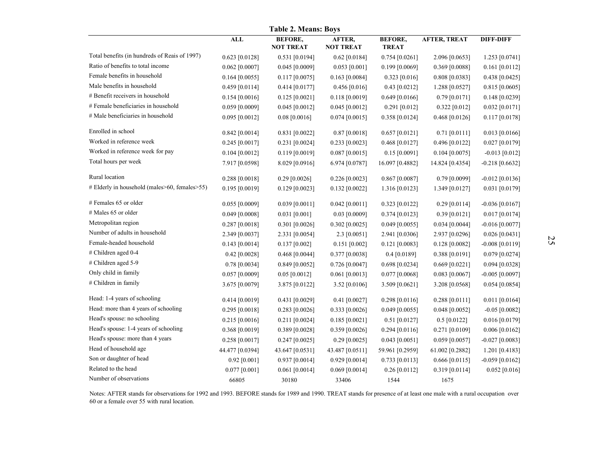|                                               | <b>ALL</b>       | <b>BEFORE,</b>   | AFTER,           | <b>BEFORE,</b>   | <b>AFTER, TREAT</b> | <b>DIFF-DIFF</b>  |
|-----------------------------------------------|------------------|------------------|------------------|------------------|---------------------|-------------------|
|                                               |                  | <b>NOT TREAT</b> | <b>NOT TREAT</b> | <b>TREAT</b>     |                     |                   |
| Total benefits (in hundreds of Reais of 1997) | $0.623$ [0.0128] | 0.531 [0.0194]   | $0.62$ [0.0184]  | $0.754$ [0.0261] | 2.096 [0.0653]      | 1.253 [0.0741]    |
| Ratio of benefits to total income             | $0.062$ [0.0007] | $0.045$ [0.0009] | $0.053$ [0.001]  | $0.199$ [0.0069] | 0.369 [0.0088]      | $0.161$ [0.0112]  |
| Female benefits in household                  | $0.164$ [0.0055] | $0.117$ [0.0075] | $0.163$ [0.0084] | $0.323$ [0.016]  | 0.808 [0.0383]      | 0.438 [0.0425]    |
| Male benefits in household                    | $0.459$ [0.0114] | 0.414 [0.0177]   | 0.456 [0.016]    | $0.43$ [0.0212]  | 1.288 [0.0527]      | $0.815$ [0.0605]  |
| # Benefit receivers in household              | 0.154 [0.0016]   | 0.125 [0.0021]   | 0.118 [0.0019]   | $0.649$ [0.0166] | $0.79$ [0.0171]     | 0.148 [0.0239]    |
| # Female beneficiaries in household           | 0.059 [0.0009]   | $0.045$ [0.0012] | $0.045$ [0.0012] | 0.291 [0.012]    | $0.322$ [0.012]     | $0.032$ [0.0171]  |
| # Male beneficiaries in household             | $0.095$ [0.0012] | $0.08$ [0.0016]  | $0.074$ [0.0015] | 0.358 [0.0124]   | $0.468$ [0.0126]    | $0.117$ [0.0178]  |
| Enrolled in school                            | $0.842$ [0.0014] | $0.831$ [0.0022] | $0.87$ [0.0018]  | $0.657$ [0.0121] | $0.71$ [0.0111]     | $0.013$ [0.0166]  |
| Worked in reference week                      | 0.245 [0.0017]   | $0.231$ [0.0024] | 0.233 [0.0023]   | $0.468$ [0.0127] | 0.496 [0.0122]      | $0.027$ [0.0179]  |
| Worked in reference week for pay              | $0.104$ [0.0012] | $0.119$ [0.0019] | $0.087$ [0.0015] | $0.15$ [0.0091]  | $0.104$ [0.0075]    | $-0.013$ [0.012]  |
| Total hours per week                          | 7.917 [0.0598]   | 8.029 [0.0916]   | 6.974 [0.0787]   | 16.097 [0.4882]  | 14.824 [0.4354]     | $-0.218$ [0.6632] |
| Rural location                                | $0.288$ [0.0018] | $0.29$ [0.0026]  | $0.226$ [0.0023] | $0.867$ [0.0087] | $0.79$ [0.0099]     | $-0.012$ [0.0136] |
| # Elderly in household (males>60, females>55) | $0.195$ [0.0019] | 0.129 [0.0023]   | $0.132$ [0.0022] | 1.316 [0.0123]   | 1.349 [0.0127]      | $0.031$ [0.0179]  |
| $#$ Females 65 or older                       | $0.055$ [0.0009] | $0.039$ [0.0011] | $0.042$ [0.0011] | 0.323 [0.0122]   | $0.29$ [0.0114]     | $-0.036$ [0.0167] |
| # Males 65 or older                           | $0.049$ [0.0008] | $0.031$ [0.001]  | $0.03$ [0.0009]  | $0.374$ [0.0123] | 0.39 [0.0121]       | $0.017$ [0.0174]  |
| Metropolitan region                           | $0.287$ [0.0018] | $0.301$ [0.0026] | $0.302$ [0.0025] | $0.049$ [0.0055] | $0.034$ [0.0044]    | $-0.016$ [0.0077] |
| Number of adults in household                 | 2.349 [0.0037]   | 2.331 [0.0054]   | $2.3$ [0.0051]   | 2.941 [0.0306]   | 2.937 [0.0296]      | $0.026$ [0.0431]  |
| Female-headed household                       | $0.143$ [0.0014] | $0.137$ [0.002]  | $0.151$ [0.002]  | $0.121$ [0.0083] | 0.128 [0.0082]      | $-0.008$ [0.0119] |
| # Children aged 0-4                           | $0.42$ [0.0028]  | $0.468$ [0.0044] | 0.377 [0.0038]   | 0.4 [0.0189]     | $0.388$ [0.0191]    | $0.079$ [0.0274]  |
| # Children aged 5-9                           | $0.78$ [0.0034]  | 0.849 [0.0052]   | $0.726$ [0.0047] | 0.698 [0.0234]   | $0.669$ [0.0221]    | $0.094$ [0.0328]  |
| Only child in family                          | $0.057$ [0.0009] | $0.05$ [0.0012]  | $0.061$ [0.0013] | $0.077$ [0.0068] | $0.083$ [0.0067]    | $-0.005$ [0.0097] |
| # Children in family                          | 3.675 [0.0079]   | 3.875 [0.0122]   | 3.52 [0.0106]    | 3.509 [0.0621]   | 3.208 [0.0568]      | $0.054$ [0.0854]  |
| Head: 1-4 years of schooling                  | 0.414 [0.0019]   | 0.431 [0.0029]   | $0.41$ [0.0027]  | 0.298 [0.0116]   | $0.288$ [0.0111]    | $0.011$ [0.0164]  |
| Head: more than 4 years of schooling          | 0.295 [0.0018]   | $0.283$ [0.0026] | $0.333$ [0.0026] | $0.049$ [0.0055] | $0.048$ [0.0052]    | $-0.05$ [0.0082]  |
| Head's spouse: no schooling                   | 0.215 [0.0016]   | $0.211$ [0.0024] | $0.185$ [0.0021] | $0.51$ [0.0127]  | $0.5$ [0.0122]      | 0.016 [0.0179]    |
| Head's spouse: 1-4 years of schooling         | 0.368 [0.0019]   | 0.389 [0.0028]   | $0.359$ [0.0026] | $0.294$ [0.0116] | $0.271$ [0.0109]    | $0.006$ [0.0162]  |
| Head's spouse: more than 4 years              | $0.258$ [0.0017] | $0.247$ [0.0025] | $0.29$ [0.0025]  | $0.043$ [0.0051] | $0.059$ [0.0057]    | $-0.027$ [0.0083] |
| Head of household age                         | 44.477 [0.0394]  | 43.647 [0.0531]  | 43.487 [0.0511]  | 59.961 [0.2959]  | 61.002 [0.2882]     | 1.201 [0.4183]    |
| Son or daughter of head                       | $0.92$ [0.001]   | $0.937$ [0.0014] | 0.929 [0.0014]   | $0.733$ [0.0113] | $0.666$ [0.0115]    | $-0.059$ [0.0162] |
| Related to the head                           | $0.077$ [0.001]  | $0.061$ [0.0014] | $0.069$ [0.0014] | 0.26 [0.0112]    | 0.319 [0.0114]      | $0.052$ [0.016]   |
| Number of observations                        | 66805            | 30180            | 33406            | 1544             | 1675                |                   |

Notes: AFTER stands for observations for 1992 and 1993. BEFORE stands for 1989 and 1990. TREAT stands for presence of at least one male with a rural occupation over 60 or a female over 55 with rural location.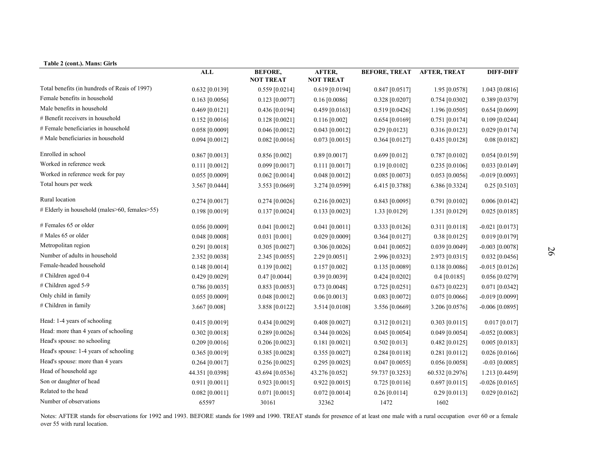| Table 2 (cont.). Mans: Girls                  | <b>ALL</b>       | <b>BEFORE,</b><br><b>NOT TREAT</b> | AFTER,<br><b>NOT TREAT</b> | <b>BEFORE, TREAT</b> | <b>AFTER, TREAT</b> | <b>DIFF-DIFF</b>  |
|-----------------------------------------------|------------------|------------------------------------|----------------------------|----------------------|---------------------|-------------------|
| Total benefits (in hundreds of Reais of 1997) | 0.632 [0.0139]   | $0.559$ [0.0214]                   | $0.619$ [0.0194]           | $0.847$ [0.0517]     | 1.95 [0.0578]       | 1.043 [0.0816]    |
| Female benefits in household                  | $0.163$ [0.0056] | $0.123$ [0.0077]                   | $0.16$ [0.0086]            | $0.328$ [0.0207]     | $0.754$ [0.0302]    | 0.389 [0.0379]    |
| Male benefits in household                    | $0.469$ [0.0121] | $0.436$ [0.0194]                   | 0.459 [0.0163]             | $0.519$ [0.0426]     | $1.196$ [0.0505]    | $0.654$ [0.0699]  |
| # Benefit receivers in household              | $0.152$ [0.0016] | 0.128 [0.0021]                     | $0.116$ [0.002]            | 0.654 [0.0169]       | 0.751 [0.0174]      | $0.109$ [0.0244]  |
| # Female beneficiaries in household           | $0.058$ [0.0009] | $0.046$ [0.0012]                   | $0.043$ [0.0012]           | $0.29$ [0.0123]      | 0.316 [0.0123]      | $0.029$ [0.0174]  |
| # Male beneficiaries in household             | $0.094$ [0.0012] | 0.082 [0.0016]                     | $0.073$ [0.0015]           | $0.364$ [0.0127]     | $0.435$ [0.0128]    | $0.08$ [0.0182]   |
| Enrolled in school                            | $0.867$ [0.0013] | $0.856$ [0.002]                    | $0.89$ [0.0017]            | $0.699$ [0.012]      | 0.787 [0.0102]      | 0.054 [0.0159]    |
| Worked in reference week                      | $0.111$ [0.0012] | $0.099$ [0.0017]                   | $0.111$ [0.0017]           | $0.19$ [0.0102]      | $0.235$ [0.0106]    | $0.033$ [0.0149]  |
| Worked in reference week for pay              | $0.055$ [0.0009] | $0.062$ [0.0014]                   | 0.048 [0.0012]             | $0.085$ [0.0073]     | $0.053$ [0.0056]    | $-0.019$ [0.0093] |
| Total hours per week                          | 3.567 [0.0444]   | 3.553 [0.0669]                     | 3.274 [0.0599]             | 6.415 [0.3788]       | 6.386 [0.3324]      | $0.25$ [0.5103]   |
| Rural location                                | $0.274$ [0.0017] | 0.274 [0.0026]                     | 0.216 [0.0023]             | 0.843 [0.0095]       | 0.791 [0.0102]      | $0.006$ [0.0142]  |
| # Elderly in household (males>60, females>55) | 0.198 [0.0019]   | $0.137$ [0.0024]                   | $0.133$ [0.0023]           | 1.33 [0.0129]        | 1.351 [0.0129]      | $0.025$ [0.0185]  |
| # Females 65 or older                         | $0.056$ [0.0009] | $0.041$ [0.0012]                   | $0.041$ [0.0011]           | $0.333$ [0.0126]     | $0.311$ [0.0118]    | $-0.021$ [0.0173] |
| # Males 65 or older                           | $0.048$ [0.0008] | $0.031$ [0.001]                    | 0.029 [0.0009]             | $0.364$ [0.0127]     | $0.38$ [0.0125]     | 0.019 [0.0179]    |
| Metropolitan region                           | $0.291$ [0.0018] | $0.305$ [0.0027]                   | $0.306$ [0.0026]           | $0.041$ [0.0052]     | 0.039 [0.0049]      | $-0.003$ [0.0078] |
| Number of adults in household                 | 2.352 [0.0038]   | 2.345 [0.0055]                     | 2.29 [0.0051]              | 2.996 [0.0323]       | 2.973 [0.0315]      | $0.032$ [0.0456]  |
| Female-headed household                       | $0.148$ [0.0014] | $0.139$ [0.002]                    | $0.157$ [0.002]            | 0.135 [0.0089]       | $0.138$ [0.0086]    | $-0.015$ [0.0126] |
| # Children aged 0-4                           | 0.429 [0.0029]   | $0.47$ [0.0044]                    | 0.39 [0.0039]              | $0.424$ [0.0202]     | $0.4$ [0.0185]      | 0.056 [0.0279]    |
| # Children aged 5-9                           | $0.786$ [0.0035] | $0.853$ [0.0053]                   | $0.73$ [0.0048]            | $0.725$ [0.0251]     | $0.673$ [0.0223]    | $0.071$ [0.0342]  |
| Only child in family                          | $0.055$ [0.0009] | $0.048$ [0.0012]                   | $0.06$ [0.0013]            | $0.083$ [0.0072]     | $0.075$ [0.0066]    | $-0.019$ [0.0099] |
| # Children in family                          | 3.667 [0.008]    | 3.858 [0.0122]                     | 3.514 [0.0108]             | 3.556 [0.0669]       | 3.206 [0.0576]      | $-0.006$ [0.0895] |
| Head: 1-4 years of schooling                  | $0.415$ [0.0019] | $0.434$ [0.0029]                   | $0.408$ [0.0027]           | $0.312$ [0.0121]     | $0.303$ [0.0115]    | $0.017$ [0.017]   |
| Head: more than 4 years of schooling          | $0.302$ [0.0018] | $0.289$ [0.0026]                   | $0.344$ [0.0026]           | $0.045$ [0.0054]     | $0.049$ [0.0054]    | $-0.052$ [0.0083] |
| Head's spouse: no schooling                   | $0.209$ [0.0016] | 0.206 [0.0023]                     | $0.181$ [0.0021]           | $0.502$ [0.013]      | 0.482 [0.0125]      | $0.005$ [0.0183]  |
| Head's spouse: 1-4 years of schooling         | $0.365$ [0.0019] | $0.385$ [0.0028]                   | $0.355$ [0.0027]           | 0.284 [0.0118]       | 0.281 [0.0112]      | $0.026$ [0.0166]  |
| Head's spouse: more than 4 years              | $0.264$ [0.0017] | $0.256$ [0.0025]                   | $0.295$ [0.0025]           | $0.047$ [0.0055]     | 0.056 [0.0058]      | $-0.03$ [0.0085]  |
| Head of household age                         | 44.351 [0.0398]  | 43.694 [0.0536]                    | 43.276 [0.052]             | 59.737 [0.3253]      | 60.532 [0.2976]     | 1.213 [0.4459]    |
| Son or daughter of head                       | $0.911$ [0.0011] | $0.923$ [0.0015]                   | $0.922$ [0.0015]           | $0.725$ [0.0116]     | $0.697$ [0.0115]    | $-0.026$ [0.0165] |
| Related to the head                           | $0.082$ [0.0011] | $0.071$ [0.0015]                   | $0.072$ [0.0014]           | 0.26 [0.0114]        | $0.29$ [0.0113]     | $0.029$ [0.0162]  |
| Number of observations                        | 65597            | 30161                              | 32362                      | 1472                 | 1602                |                   |

Notes: AFTER stands for observations for 1992 and 1993. BEFORE stands for 1989 and 1990. TREAT stands for presence of at least one male with a rural occupation over 60 or a female over 55 with rural location.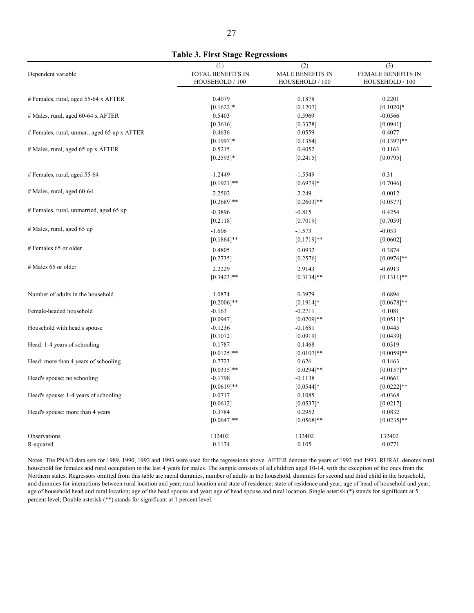|                                              | (1)                      | (2)                     | (3)                       |
|----------------------------------------------|--------------------------|-------------------------|---------------------------|
| Dependent variable                           | <b>TOTAL BENEFITS IN</b> | <b>MALE BENEFITS IN</b> | <b>FEMALE BENEFITS IN</b> |
|                                              | HOUSEHOLD / 100          | HOUSEHOLD / 100         | HOUSEHOLD / 100           |
| # Females, rural, aged 55-64 x AFTER         | 0.4079                   | 0.1878                  | 0.2201                    |
|                                              | $[0.1622]$ *             | [0.1207]                | $[0.1020]*$               |
| # Males, rural, aged 60-64 x AFTER           | 0.5403                   | 0.5969                  | $-0.0566$                 |
|                                              | [0.3616]                 | [0.3378]                | [0.0941]                  |
| # Females, rural, unmar., aged 65 up x AFTER | 0.4636                   | 0.0559                  | 0.4077                    |
|                                              | $[0.1997]$ *             | [0.1354]                | $[0.1397]$ **             |
| # Males, rural, aged 65 up x AFTER           | 0.5215                   | 0.4052                  | 0.1163                    |
|                                              | $[0.2593]*$              | [0.2415]                | [0.0795]                  |
| # Females, rural, aged 55-64                 | $-1.2449$                | $-1.5549$               | 0.31                      |
|                                              | $[0.1921]$ **            | $[0.6979]*$             | [0.7046]                  |
| $#$ Males, rural, aged 60-64                 | $-2.2502$                | $-2.249$                | $-0.0012$                 |
|                                              | $[0.2689]$ **            | $[0.2603]**$            | [0.0577]                  |
| # Females, rural, unmarried, aged 65 up      | $-0.3896$                | $-0.815$                | 0.4254                    |
|                                              | [0.2118]                 | [0.7019]                | [0.7059]                  |
| # Males, rural, aged 65 up                   | $-1.606$                 | $-1.573$                | $-0.033$                  |
|                                              | $[0.1864]$ **            | $[0.1719]$ **           | [0.0602]                  |
| # Females 65 or older                        | 0.4805                   | 0.0932                  | 0.3874                    |
|                                              | [0.2735]                 | [0.2576]                | $[0.0976]$ **             |
| # Males 65 or older                          | 2.2229                   | 2.9143                  | $-0.6913$                 |
|                                              | $[0.3423]$ **            | $[0.3134]$ **           | $[0.1311]$ **             |
| Number of adults in the household            | 1.0874                   | 0.3979                  | 0.6894                    |
|                                              | $[0.2006]$ **            | $[0.1914]*$             | $[0.0678]$ **             |
| Female-headed household                      | $-0.163$                 | $-0.2711$               | 0.1081                    |
|                                              | [0.0947]                 | $[0.0709]**$            | $[0.0511]*$               |
| Household with head's spouse                 | $-0.1236$                | $-0.1681$               | 0.0445                    |

**Table 3. First Stage Regressions** 

Observations 132402 132402 132402 132402 132402 132402 132402 132402 132402 132402 132402 132402 132402 132402 R-squared 0.1174 0.105 0.0771 Notes: The PNAD data sets for 1989, 1990, 1992 and 1993 were used for the regressions above. AFTER denotes the years of 1992 and 1993. RURAL denotes rural household for females and rural occupation in the last 4 years for males. The sample consists of all children aged 10-14, with the exception of the ones from the Northern states. Regressors omitted from this table are racial dummies, number of adults in the household, dummies for second and third child in the household,

 $[0.1072]$   $[0.0919]$   $[0.0439]$ Head: 1-4 years of schooling 0.0319 0.1787 0.1468 0.0319  $[0.0125]^{**}$   $[0.0107]^{**}$   $[0.0059]^{**}$ Head: more than 4 years of schooling 0.7723 0.626 0.1463  $[0.0335]^{**}$   $[0.0294]^{**}$   $[0.0157]^{**}$ Head's spouse: no schooling  $-0.1798$  -0.1138  $-0.1138$  -0.0661  $[0.0619]$ <sup>\*\*</sup>  $[0.0544]$ <sup>\*</sup> [0.0222]<sup>\*\*</sup> Head's spouse: 1-4 years of schooling 0.0717 0.0717 0.1085 -0.0368 -0.0368  $[0.0612]$   $[0.0537]$ \*  $[0.0217]$ Head's spouse: more than 4 years 0.0832 0.0832 0.0832 0.0832  $[0.0647]^{**}$   $[0.0668]^{**}$   $[0.0235]^{**}$ 

and dummies for interactions between rural location and year; rural location and state of residence; state of residence and year; age of head of household and year; age of household head and rural location; age of the head spouse and year; age of head spouse and rural location. Single asterisk (\*) stands for significant at 5 percent level; Double asterisk (\*\*) stands for significant at 1 percent level.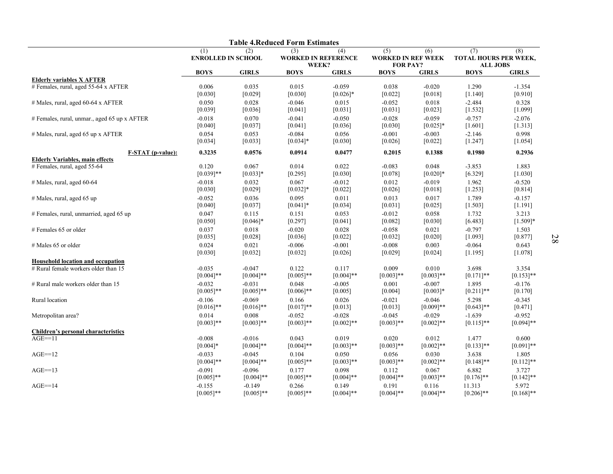|                                              |                                         |              | <b>Table 4.Reduced Form Estimates</b>      |              |                                                     |              |                                                        |              |
|----------------------------------------------|-----------------------------------------|--------------|--------------------------------------------|--------------|-----------------------------------------------------|--------------|--------------------------------------------------------|--------------|
|                                              | (1)<br>(2)<br><b>ENROLLED IN SCHOOL</b> |              | (3)<br><b>WORKED IN REFERENCE</b><br>WEEK? | (4)          | (5)<br><b>WORKED IN REF WEEK</b><br><b>FOR PAY?</b> | (6)          | (7)<br>(8)<br>TOTAL HOURS PER WEEK,<br><b>ALL JOBS</b> |              |
|                                              | <b>BOYS</b>                             | <b>GIRLS</b> | <b>BOYS</b>                                | <b>GIRLS</b> | <b>BOYS</b>                                         | <b>GIRLS</b> | <b>BOYS</b>                                            | <b>GIRLS</b> |
| <b>Elderly variables X AFTER</b>             |                                         |              |                                            |              |                                                     |              |                                                        |              |
| # Females, rural, aged 55-64 x AFTER         | 0.006                                   | 0.035        | 0.015                                      | $-0.059$     | 0.038                                               | $-0.020$     | 1.290                                                  | $-1.354$     |
|                                              | [0.030]                                 | [0.029]      | [0.030]                                    | $[0.026]$ *  | [0.022]                                             | [0.018]      | [1.140]                                                | [0.910]      |
| $#$ Males, rural, aged 60-64 x AFTER         | 0.050                                   | 0.028        | $-0.046$                                   | 0.015        | $-0.052$                                            | 0.018        | $-2.484$                                               | 0.328        |
|                                              | [0.039]                                 | [0.036]      | [0.041]                                    | [0.031]      | [0.031]                                             | [0.023]      | [1.532]                                                | [1.099]      |
| # Females, rural, unmar., aged 65 up x AFTER | $-0.018$                                | 0.070        | $-0.041$                                   | $-0.050$     | $-0.028$                                            | $-0.059$     | $-0.757$                                               | $-2.076$     |
|                                              | [0.040]                                 | [0.037]      | [0.041]                                    | [0.036]      | [0.030]                                             | $[0.025]*$   | [1.601]                                                | [1.313]      |
| # Males, rural, aged 65 up x AFTER           | 0.054                                   | 0.053        | $-0.084$                                   | 0.056        | $-0.001$                                            | $-0.003$     | $-2.146$                                               | 0.998        |
|                                              | [0.034]                                 | [0.033]      | $[0.034]$ *                                | [0.030]      | [0.026]                                             | [0.022]      | [1.247]                                                | [1.054]      |
| <b>F-STAT</b> (p-value):                     | 0.3235                                  | 0.0576       | 0.0914                                     | 0.0477       | 0.2015                                              | 0.1388       | 0.1980                                                 | 0.2936       |
| <b>Elderly Variables, main effects</b>       |                                         |              |                                            |              |                                                     |              |                                                        |              |
| # Females, rural, aged 55-64                 | 0.120                                   | 0.067        | 0.014                                      | 0.022        | $-0.083$                                            | 0.048        | $-3.853$                                               | 1.883        |
|                                              | $[0.039]$ **                            | $[0.033]*$   | [0.295]                                    | [0.030]      | [0.078]                                             | $[0.020]*$   | [6.329]                                                | [1.030]      |
| # Males, rural, aged 60-64                   | $-0.018$                                | 0.032        | 0.067                                      | $-0.012$     | 0.012                                               | $-0.019$     | 1.962                                                  | $-0.520$     |
|                                              | [0.030]                                 | [0.029]      | $[0.032]*$                                 | [0.022]      | [0.026]                                             | $[0.018]$    | [1.253]                                                | [0.814]      |
| $#$ Males, rural, aged 65 up                 | $-0.052$                                | 0.036        | 0.095                                      | 0.011        | 0.013                                               | 0.017        | 1.789                                                  | $-0.157$     |
|                                              | [0.040]                                 | [0.037]      | $[0.041]$ *                                | [0.034]      | [0.031]                                             | [0.025]      | [1.503]                                                | [1.191]      |
| # Females, rural, unmarried, aged 65 up      | 0.047                                   | 0.115        | 0.151                                      | 0.053        | $-0.012$                                            | 0.058        | 1.732                                                  | 3.213        |
|                                              | [0.050]                                 | $[0.046]$ *  | [0.297]                                    | [0.041]      | [0.082]                                             | [0.030]      | [6.483]                                                | $[1.509]*$   |
| # Females 65 or older                        | 0.037                                   | 0.018        | $-0.020$                                   | 0.028        | $-0.058$                                            | 0.021        | $-0.797$                                               | 1.503        |
|                                              | [0.035]                                 | [0.028]      | [0.036]                                    | [0.022]      | [0.032]                                             | [0.020]      | [1.093]                                                | [0.877]      |
| # Males 65 or older                          | 0.024                                   | 0.021        | $-0.006$                                   | $-0.001$     | $-0.008$                                            | 0.003        | $-0.064$                                               | 0.643        |
|                                              | [0.030]                                 | [0.032]      | [0.032]                                    | [0.026]      | [0.029]                                             | [0.024]      | [1.195]                                                | [1.078]      |
| Household location and occupation            |                                         |              |                                            |              |                                                     |              |                                                        |              |
| # Rural female workers older than 15         | $-0.035$                                | $-0.047$     | 0.122                                      | 0.117        | 0.009                                               | 0.010        | 3.698                                                  | 3.354        |
|                                              | $[0.004]$ **                            | $[0.004]$ ** | $[0.005]$ **                               | $[0.004]$ ** | $[0.003]$ **                                        | $[0.003]**$  | $[0.171]$ **                                           | $[0.153]$ ** |
| # Rural male workers older than 15           | $-0.032$                                | $-0.031$     | 0.048                                      | $-0.005$     | 0.001                                               | $-0.007$     | 1.895                                                  | $-0.176$     |
|                                              | $[0.005]$ **                            | $[0.005]**$  | $[0.006]$ **                               | [0.005]      | [0.004]                                             | $[0.003]*$   | $[0.211]$ **                                           | [0.170]      |
| Rural location                               | $-0.106$                                | $-0.069$     | 0.166                                      | 0.026        | $-0.021$                                            | $-0.046$     | 5.298                                                  | $-0.345$     |
|                                              | $[0.016]$ **                            | $[0.016]$ ** | $[0.017]**$                                | [0.013]      | [0.013]                                             | $[0.009]**$  | $[0.643]**$                                            | [0.471]      |
| Metropolitan area?                           | 0.014                                   | 0.008        | $-0.052$                                   | $-0.028$     | $-0.045$                                            | $-0.029$     | $-1.639$                                               | $-0.952$     |
|                                              | $[0.003]$ **                            | $[0.003]$ ** | $[0.003]$ **                               | $[0.002]**$  | $[0.003]$ **                                        | $[0.002]**$  | $[0.115]$ **                                           | $[0.094]$ ** |
| <b>Children's personal characteristics</b>   |                                         |              |                                            |              |                                                     |              |                                                        |              |
| $AGE==11$                                    | $-0.008$                                | $-0.016$     | 0.043                                      | 0.019        | 0.020                                               | 0.012        | 1.477                                                  | 0.600        |
|                                              | $[0.004]*$                              | $[0.004]$ ** | $[0.004]$ **                               | $[0.003]**$  | $[0.003]**$                                         | $[0.002]**$  | $[0.133]$ **                                           | $[0.091]**$  |
| $AGE==12$                                    | $-0.033$                                | $-0.045$     | 0.104                                      | 0.050        | 0.056                                               | 0.030        | 3.638                                                  | 1.805        |
|                                              | $[0.004]$ **                            | $[0.004]$ ** | $[0.005]$ **                               | $[0.003]**$  | $[0.003]$ **                                        | $[0.002]**$  | $[0.148]$ **                                           | $[0.112]$ ** |
| $AGE==13$                                    | $-0.091$                                | $-0.096$     | 0.177                                      | 0.098        | 0.112                                               | 0.067        | 6.882                                                  | 3.727        |
|                                              | $[0.005]$ **                            | $[0.004]$ ** | $[0.005]$ **                               | $[0.004]$ ** | $[0.004]$ **                                        | $[0.003]**$  | $[0.176]$ **                                           | $[0.142]$ ** |
| $AGE = 14$                                   | $-0.155$                                | $-0.149$     | 0.266                                      | 0.149        | 0.191                                               | 0.116        | 11.313                                                 | 5.972        |
|                                              | $[0.005]$ **                            | $[0.005]$ ** | $[0.005]$ **                               | $[0.004]$ ** | $[0.004]$ **                                        | $[0.004]$ ** | $[0.206]$ **                                           | $[0.168]$ ** |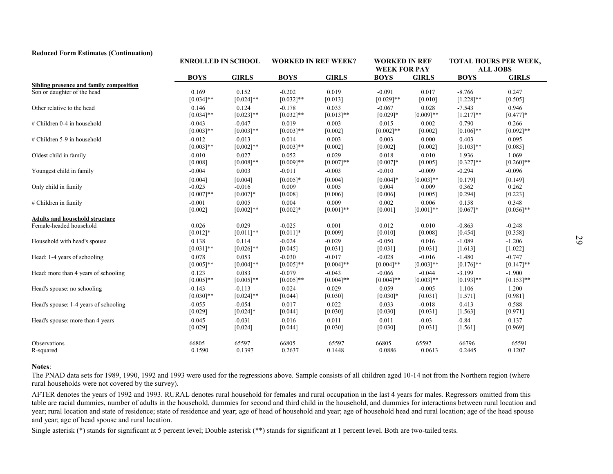|                                         | <b>ENROLLED IN SCHOOL</b> |              |              | <b>WORKED IN REF WEEK?</b> |              | <b>WORKED IN REF</b><br><b>WEEK FOR PAY</b> |              | <b>TOTAL HOURS PER WEEK,</b><br><b>ALL JOBS</b> |
|-----------------------------------------|---------------------------|--------------|--------------|----------------------------|--------------|---------------------------------------------|--------------|-------------------------------------------------|
|                                         | <b>BOYS</b>               | <b>GIRLS</b> | <b>BOYS</b>  | <b>GIRLS</b>               | <b>BOYS</b>  | <b>GIRLS</b>                                | <b>BOYS</b>  | <b>GIRLS</b>                                    |
| Sibling presence and family composition | 0.169                     | 0.152        | $-0.202$     | 0.019                      | $-0.091$     | 0.017                                       | $-8.766$     | 0.247                                           |
| Son or daughter of the head             | $[0.034]$ **              | $[0.024]$ ** | $[0.032]$ ** | [0.013]                    | $[0.029]$ ** | [0.010]                                     | $[1.228]$ ** | $[0.505]$                                       |
| Other relative to the head              | 0.146                     | 0.124        | $-0.178$     | 0.033                      | $-0.067$     | 0.028                                       | $-7.543$     | 0.946                                           |
|                                         | $[0.034]$ **              | $[0.023]$ ** | $[0.032]$ ** | $[0.013]$ **               | $[0.029]*$   | $[0.009]**$                                 | $[1.217]**$  | $[0.477]*$                                      |
| # Children 0-4 in household             | $-0.043$                  | $-0.047$     | 0.019        | 0.003                      | 0.015        | 0.002                                       | 0.790        | 0.266                                           |
|                                         | $[0.003]**$               | $[0.003]**$  | $[0.003]**$  | [0.002]                    | $[0.002]**$  | [0.002]                                     | $[0.106]$ ** | $[0.092]**$                                     |
| # Children 5-9 in household             | $-0.012$                  | $-0.013$     | 0.014        | 0.003                      | 0.003        | 0.000                                       | 0.403        | 0.095                                           |
|                                         | $[0.003]**$               | $[0.002]**$  | $[0.003]**$  | [0.002]                    | [0.002]      | [0.002]                                     | $[0.103]$ ** | [0.085]                                         |
| Oldest child in family                  | $-0.010$                  | 0.027        | 0.052        | 0.029                      | 0.018        | 0.010                                       | 1.936        | 1.069                                           |
|                                         | [0.008]                   | $[0.008]**$  | $[0.009]**$  | $[0.007]**$                | $[0.007]*$   | [0.005]                                     | $[0.327]$ ** | $[0.260]$ **                                    |
| Youngest child in family                | $-0.004$                  | 0.003        | $-0.011$     | $-0.003$                   | $-0.010$     | $-0.009$                                    | $-0.294$     | $-0.096$                                        |
|                                         | [0.004]                   | [0.004]      | $[0.005]*$   | [0.004]                    | $[0.004]*$   | $[0.003]**$                                 | [0.179]      | $[0.149]$                                       |
| Only child in family                    | $-0.025$                  | $-0.016$     | 0.009        | 0.005                      | 0.004        | 0.009                                       | 0.362        | 0.262                                           |
|                                         | $[0.007]**$               | $[0.007]*$   | [0.008]      | [0.006]                    | [0.006]      | [0.005]                                     | $[0.294]$    | $[0.223]$                                       |
| # Children in family                    | $-0.001$                  | 0.005        | 0.004        | 0.009                      | 0.002        | 0.006                                       | 0.158        | 0.348                                           |
|                                         | [0.002]                   | $[0.002]$ ** | $[0.002]*$   | $[0.001]**$                | [0.001]      | $[0.001]**$                                 | $[0.067]*$   | $[0.056]$ **                                    |
| <b>Adults and household structure</b>   |                           |              |              |                            |              |                                             |              |                                                 |
| Female-headed household                 | 0.026                     | 0.029        | $-0.025$     | 0.001                      | 0.012        | 0.010                                       | $-0.863$     | $-0.248$                                        |
|                                         | $[0.012]*$                | $[0.011]$ ** | $[0.011]*$   | [0.009]                    | [0.010]      | [0.008]                                     | [0.454]      | [0.358]                                         |
| Household with head's spouse            | 0.138                     | 0.114        | $-0.024$     | $-0.029$                   | $-0.050$     | 0.016                                       | $-1.089$     | $-1.206$                                        |
|                                         | $[0.031]$ **              | $[0.026]$ ** | [0.045]      | $[0.031]$                  | [0.031]      | [0.031]                                     | [1.613]      | $[1.022]$                                       |
| Head: 1-4 years of schooling            | 0.078                     | 0.053        | $-0.030$     | $-0.017$                   | $-0.028$     | $-0.016$                                    | $-1.480$     | $-0.747$                                        |
|                                         | $[0.005]**$               | $[0.004]$ ** | $[0.005]$ ** | $[0.004]$ **               | $[0.004]$ ** | $[0.003]**$                                 | $[0.176]$ ** | $[0.147]$ **                                    |
| Head: more than 4 years of schooling    | 0.123                     | 0.083        | $-0.079$     | $-0.043$                   | $-0.066$     | $-0.044$                                    | $-3.199$     | $-1.900$                                        |
|                                         | $[0.005]**$               | $[0.005]$ ** | $[0.005]**$  | $[0.004]$ **               | $[0.004]$ ** | $[0.003]**$                                 | $[0.193]$ ** | $[0.153]$ **                                    |
| Head's spouse: no schooling             | $-0.143$                  | $-0.113$     | 0.024        | 0.029                      | 0.059        | $-0.005$                                    | 1.106        | 1.200                                           |
|                                         | $[0.030]$ **              | $[0.024]$ ** | [0.044]      | [0.030]                    | $[0.030]*$   | [0.031]                                     | $[1.571]$    | [0.981]                                         |
| Head's spouse: 1-4 years of schooling   | $-0.055$                  | $-0.054$     | 0.017        | 0.022                      | 0.033        | $-0.018$                                    | 0.413        | 0.588                                           |
|                                         | [0.029]                   | $[0.024]*$   | [0.044]      | [0.030]                    | [0.030]      | [0.031]                                     | [1.563]      | $[0.971]$                                       |
| Head's spouse: more than 4 years        | $-0.045$                  | $-0.031$     | $-0.016$     | 0.011                      | 0.011        | $-0.03$                                     | $-0.84$      | 0.137                                           |
|                                         | [0.029]                   | [0.024]      | [0.044]      | [0.030]                    | [0.030]      | [0.031]                                     | [1.561]      | [0.969]                                         |
| Observations                            | 66805                     | 65597        | 66805        | 65597                      | 66805        | 65597                                       | 66796        | 65591                                           |
| R-squared                               | 0.1590                    | 0.1397       | 0.2637       | 0.1448                     | 0.0886       | 0.0613                                      | 0.2445       | 0.1207                                          |

Notes:<br>The PNAD data sets for 1989, 1990, 1992 and 1993 were used for the regressions above. Sample consists of all children aged 10-14 not from the Northern region (where<br>rural households were not covered by the survey).<br>

Single asterisk (\*) stands for significant at 5 percent level; Double asterisk (\*\*) stands for significant at 1 percent level. Both are two-tailed tests.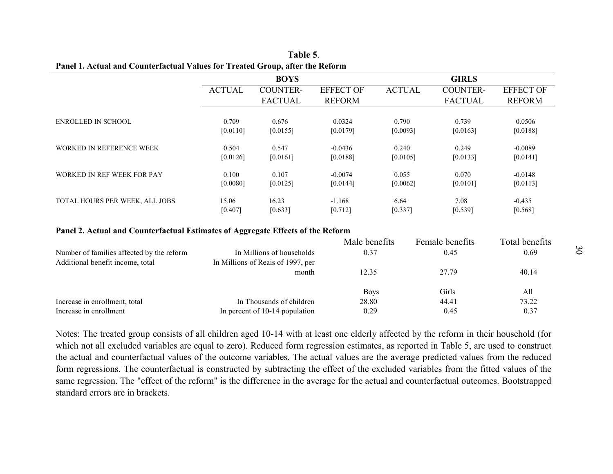|                                                                                 |                   | <b>BOYS</b>                                                    |                                   |                   | <b>GIRLS</b>                      |                                   |
|---------------------------------------------------------------------------------|-------------------|----------------------------------------------------------------|-----------------------------------|-------------------|-----------------------------------|-----------------------------------|
|                                                                                 | <b>ACTUAL</b>     | <b>COUNTER-</b><br><b>FACTUAL</b>                              | <b>EFFECT OF</b><br><b>REFORM</b> | <b>ACTUAL</b>     | <b>COUNTER-</b><br><b>FACTUAL</b> | <b>EFFECT OF</b><br><b>REFORM</b> |
| ENROLLED IN SCHOOL                                                              | 0.709<br>[0.0110] | 0.676<br>[0.0155]                                              | 0.0324<br>[0.0179]                | 0.790<br>[0.0093] | 0.739<br>[0.0163]                 | 0.0506<br>[0.0188]                |
| WORKED IN REFERENCE WEEK                                                        | 0.504<br>[0.0126] | 0.547<br>[0.0161]                                              | $-0.0436$<br>[0.0188]             | 0.240<br>[0.0105] | 0.249<br>[0.0133]                 | $-0.0089$<br>[0.0141]             |
| WORKED IN REF WEEK FOR PAY                                                      | 0.100<br>[0.0080] | 0.107<br>[0.0125]                                              | $-0.0074$<br>[0.0144]             | 0.055<br>[0.0062] | 0.070<br>[0.0101]                 | $-0.0148$<br>[0.0113]             |
| TOTAL HOURS PER WEEK, ALL JOBS                                                  | 15.06<br>[0.407]  | 16.23<br>[0.633]                                               | $-1.168$<br>[0.712]               | 6.64<br>[0.337]   | 7.08<br>[0.539]                   | $-0.435$<br>[0.568]               |
| Panel 2. Actual and Counterfactual Estimates of Aggregate Effects of the Reform |                   |                                                                |                                   |                   |                                   |                                   |
|                                                                                 |                   |                                                                | Male benefits                     |                   | Female benefits                   | Total benefits                    |
| Number of families affected by the reform<br>Additional benefit income, total   |                   | In Millions of households<br>In Millions of Reais of 1997, per | 0.37                              |                   | 0.45                              | 0.69                              |
|                                                                                 |                   | month                                                          |                                   |                   |                                   |                                   |
|                                                                                 |                   |                                                                | <b>Boys</b>                       |                   | Girls                             | All                               |
|                                                                                 |                   |                                                                |                                   |                   |                                   | 73.22                             |
| Increase in enrollment, total<br>Increase in enrollment                         |                   | In Thousands of children<br>In percent of 10-14 population     | 12.35<br>28.80<br>0.29            |                   | 27.79<br>44.41<br>0.45            | 40.14<br>0.37                     |

|                                                                               |                                                                | Male benefits | Female benefits | Total benefits |
|-------------------------------------------------------------------------------|----------------------------------------------------------------|---------------|-----------------|----------------|
| Number of families affected by the reform<br>Additional benefit income, total | In Millions of households<br>In Millions of Reais of 1997, per | 0.37          | 0.45            | 0.69           |
|                                                                               | month                                                          | 12.35         | 27.79           | 40.14          |
|                                                                               |                                                                | <b>Boys</b>   | Girls           | All            |
| Increase in enrollment, total                                                 | In Thousands of children                                       | 28.80         | 44.41           | 73.22          |
| Increase in enrollment                                                        | In percent of 10-14 population                                 | 0.29          | 0.45            | 0.37           |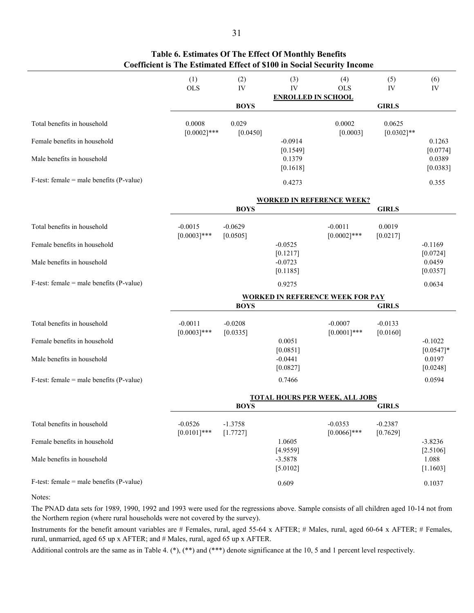|                                             | (1)<br><b>OLS</b>           | (2)<br>IV             | (3)<br>IV                 | (4)<br><b>OLS</b>                       | (5)<br>IV               | (6)<br>IV                |
|---------------------------------------------|-----------------------------|-----------------------|---------------------------|-----------------------------------------|-------------------------|--------------------------|
|                                             |                             | <b>BOYS</b>           | <b>ENROLLED IN SCHOOL</b> |                                         | <b>GIRLS</b>            |                          |
| Total benefits in household                 | 0.0008<br>$[0.0002]$ ***    | 0.029<br>[0.0450]     |                           | 0.0002<br>[0.0003]                      | 0.0625<br>$[0.0302]$ ** |                          |
| Female benefits in household                |                             |                       | $-0.0914$<br>[0.1549]     |                                         |                         | 0.1263<br>[0.0774]       |
| Male benefits in household                  |                             |                       | 0.1379<br>[0.1618]        |                                         |                         | 0.0389<br>[0.0383]       |
| $F-test$ : female = male benefits (P-value) |                             |                       | 0.4273                    |                                         |                         | 0.355                    |
|                                             |                             |                       |                           | <b>WORKED IN REFERENCE WEEK?</b>        |                         |                          |
|                                             |                             | <b>BOYS</b>           |                           |                                         | <b>GIRLS</b>            |                          |
| Total benefits in household                 | $-0.0015$<br>$[0.0003]$ *** | $-0.0629$<br>[0.0505] |                           | $-0.0011$<br>$[0.0002]$ ***             | 0.0019<br>[0.0217]      |                          |
| Female benefits in household                |                             |                       | $-0.0525$<br>[0.1217]     |                                         |                         | $-0.1169$<br>[0.0724]    |
| Male benefits in household                  |                             |                       | $-0.0723$<br>[0.1185]     |                                         |                         | 0.0459<br>[0.0357]       |
| $F-test$ : female = male benefits (P-value) |                             |                       | 0.9275                    |                                         |                         | 0.0634                   |
|                                             |                             |                       |                           | <b>WORKED IN REFERENCE WEEK FOR PAY</b> |                         |                          |
|                                             |                             | <b>BOYS</b>           |                           |                                         | <b>GIRLS</b>            |                          |
| Total benefits in household                 | $-0.0011$<br>$[0.0003]$ *** | $-0.0208$<br>[0.0335] |                           | $-0.0007$<br>$[0.0001]$ ***             | $-0.0133$<br>[0.0160]   |                          |
| Female benefits in household                |                             |                       | 0.0051<br>[0.0851]        |                                         |                         | $-0.1022$<br>$[0.0547]*$ |
| Male benefits in household                  |                             |                       | $-0.0441$<br>[0.0827]     |                                         |                         | 0.0197<br>[0.0248]       |
| $F-test$ : female = male benefits (P-value) |                             |                       | 0.7466                    |                                         |                         | 0.0594                   |
|                                             |                             | <b>BOYS</b>           |                           | <b>TOTAL HOURS PER WEEK, ALL JOBS</b>   | <b>GIRLS</b>            |                          |
|                                             |                             |                       |                           |                                         |                         |                          |
| Total benefits in household                 | $-0.0526$<br>$[0.0101]***$  | $-1.3758$<br>[1.7727] |                           | $-0.0353$<br>$[0.0066]$ ***             | $-0.2387$<br>[0.7629]   |                          |
| Female benefits in household                |                             |                       | 1.0605<br>[4.9559]        |                                         |                         | $-3.8236$<br>[2.5106]    |
| Male benefits in household                  |                             |                       | $-3.5878$<br>[5.0102]     |                                         |                         | 1.088<br>[1.1603]        |
| $F-test$ : female = male benefits (P-value) |                             |                       | 0.609                     |                                         |                         | 0.1037                   |

### **Table 6. Estimates Of The Effect Of Monthly Benefits Coefficient is The Estimated Effect of \$100 in Social Security Income**

Notes:

The PNAD data sets for 1989, 1990, 1992 and 1993 were used for the regressions above. Sample consists of all children aged 10-14 not from the Northern region (where rural households were not covered by the survey).

Instruments for the benefit amount variables are # Females, rural, aged 55-64 x AFTER; # Males, rural, aged 60-64 x AFTER; # Females, rural, unmarried, aged 65 up x AFTER; and # Males, rural, aged 65 up x AFTER.

Additional controls are the same as in Table 4. (\*), (\*\*) and (\*\*\*) denote significance at the 10, 5 and 1 percent level respectively.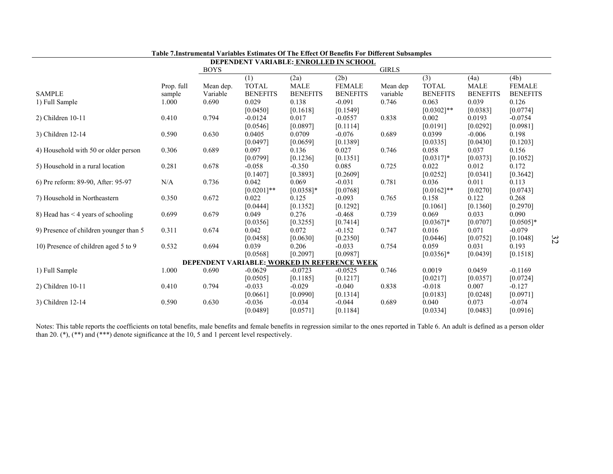|                                        |            |             | Table 7.Instrumental Variables Estimates Of The Effect Of Benefits For Different Subsamples |                 |                 |              |                 |                 |                 |    |
|----------------------------------------|------------|-------------|---------------------------------------------------------------------------------------------|-----------------|-----------------|--------------|-----------------|-----------------|-----------------|----|
|                                        |            | <b>BOYS</b> | DEPENDENT VARIABLE: ENROLLED IN SCHOOL                                                      |                 |                 | <b>GIRLS</b> |                 |                 |                 |    |
|                                        |            |             | (1)                                                                                         | (2a)            | (2b)            |              | (3)             | (4a)            | (4b)            |    |
|                                        | Prop. full | Mean dep.   | <b>TOTAL</b>                                                                                | <b>MALE</b>     | <b>FEMALE</b>   | Mean dep     | <b>TOTAL</b>    | <b>MALE</b>     | <b>FEMALE</b>   |    |
| <b>SAMPLE</b>                          | sample     | Variable    | <b>BENEFITS</b>                                                                             | <b>BENEFITS</b> | <b>BENEFITS</b> | variable     | <b>BENEFITS</b> | <b>BENEFITS</b> | <b>BENEFITS</b> |    |
| 1) Full Sample                         | 1.000      | 0.690       | 0.029                                                                                       | 0.138           | $-0.091$        | 0.746        | 0.063           | 0.039           | 0.126           |    |
|                                        |            |             | [0.0450]                                                                                    | [0.1618]        | [0.1549]        |              | $[0.0302]**$    | [0.0383]        | [0.0774]        |    |
| 2) Children 10-11                      | 0.410      | 0.794       | $-0.0124$                                                                                   | 0.017           | $-0.0557$       | 0.838        | 0.002           | 0.0193          | $-0.0754$       |    |
|                                        |            |             | [0.0546]                                                                                    | [0.0897]        | [0.1114]        |              | [0.0191]        | [0.0292]        | [0.0981]        |    |
| 3) Children 12-14                      | 0.590      | 0.630       | 0.0405                                                                                      | 0.0709          | $-0.076$        | 0.689        | 0.0399          | $-0.006$        | 0.198           |    |
|                                        |            |             | [0.0497]                                                                                    | [0.0659]        | [0.1389]        |              | [0.0335]        | [0.0430]        | [0.1203]        |    |
| 4) Household with 50 or older person   | 0.306      | 0.689       | 0.097                                                                                       | 0.136           | 0.027           | 0.746        | 0.058           | 0.037           | 0.156           |    |
|                                        |            |             | [0.0799]                                                                                    | [0.1236]        | [0.1351]        |              | $[0.0317]*$     | [0.0373]        | [0.1052]        |    |
| 5) Household in a rural location       | 0.281      | 0.678       | $-0.058$                                                                                    | $-0.350$        | 0.085           | 0.725        | 0.022           | 0.012           | 0.172           |    |
|                                        |            |             | [0.1407]                                                                                    | [0.3893]        | [0.2609]        |              | [0.0252]        | [0.0341]        | [0.3642]        |    |
| 6) Pre reform: 89-90, After: 95-97     | N/A        | 0.736       | 0.042                                                                                       | 0.069           | $-0.031$        | 0.781        | 0.036           | 0.011           | 0.113           |    |
|                                        |            |             | $[0.0201]$ **                                                                               | $[0.0358]$ *    | [0.0768]        |              | $[0.0162]$ **   | [0.0270]        | [0.0743]        |    |
| 7) Household in Northeastern           | 0.350      | 0.672       | 0.022                                                                                       | 0.125           | $-0.093$        | 0.765        | 0.158           | 0.122           | 0.268           |    |
|                                        |            |             | [0.0444]                                                                                    | [0.1352]        | [0.1292]        |              | [0.1061]        | [0.1360]        | [0.2970]        |    |
| 8) Head has $<$ 4 years of schooling   | 0.699      | 0.679       | 0.049                                                                                       | 0.276           | $-0.468$        | 0.739        | 0.069           | 0.033           | 0.090           |    |
|                                        |            |             | [0.0356]                                                                                    | [0.3255]        | [0.7414]        |              | $[0.0367]*$     | [0.0707]        | $[0.0505]*$     |    |
| 9) Presence of children younger than 5 | 0.311      | 0.674       | 0.042                                                                                       | 0.072           | $-0.152$        | 0.747        | 0.016           | 0.071           | $-0.079$        |    |
|                                        |            |             | [0.0458]                                                                                    | [0.0630]        | [0.2350]        |              | [0.0446]        | [0.0752]        | [0.1048]        | 32 |
| 10) Presence of children aged 5 to 9   | 0.532      | 0.694       | 0.039                                                                                       | 0.206           | $-0.033$        | 0.754        | 0.059           | 0.031           | 0.193           |    |
|                                        |            |             | [0.0568]                                                                                    | [0.2097]        | [0.0987]        |              | $[0.0356]$ *    | [0.0439]        | [0.1518]        |    |
|                                        |            |             | DEPENDENT VARIABLE: WORKED IN REFERENCE WEEK                                                |                 |                 |              |                 |                 |                 |    |
| 1) Full Sample                         | 1.000      | 0.690       | $-0.0629$                                                                                   | $-0.0723$       | $-0.0525$       | 0.746        | 0.0019          | 0.0459          | $-0.1169$       |    |
|                                        |            |             | [0.0505]                                                                                    | [0.1185]        | [0.1217]        |              | [0.0217]        | [0.0357]        | [0.0724]        |    |
| 2) Children 10-11                      | 0.410      | 0.794       | $-0.033$                                                                                    | $-0.029$        | $-0.040$        | 0.838        | $-0.018$        | 0.007           | $-0.127$        |    |
|                                        |            |             | [0.0661]                                                                                    | [0.0990]        | [0.1314]        |              | [0.0183]        | [0.0248]        | [0.0971]        |    |
| 3) Children 12-14                      | 0.590      | 0.630       | $-0.036$                                                                                    | $-0.034$        | $-0.044$        | 0.689        | 0.040           | 0.073           | $-0.074$        |    |
|                                        |            |             | [0.0489]                                                                                    | [0.0571]        | [0.1184]        |              | [0.0334]        | [0.0483]        | [0.0916]        |    |

Notes: This table reports the coefficients on total benefits, male benefits and female benefits in regression similar to the ones reported in Table 6. An adult is defined as a person older than 20. (\*), (\*\*) and (\*\*\*) den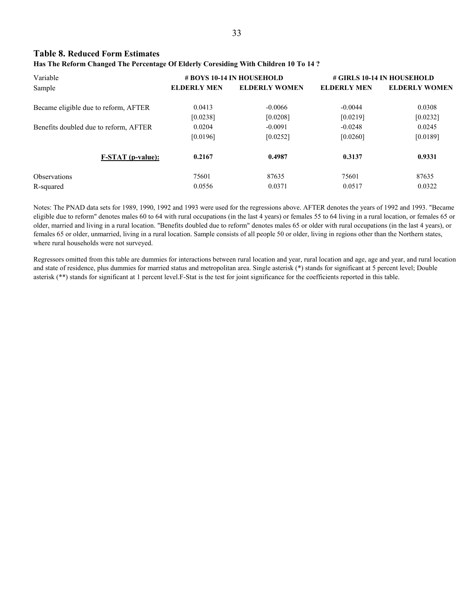#### **Table 8. Reduced Form Estimates**

#### **Has The Reform Changed The Percentage Of Elderly Coresiding With Children 10 To 14 ?**

| Variable                              |                    | # BOYS 10-14 IN HOUSEHOLD | # GIRLS 10-14 IN HOUSEHOLD |                      |  |
|---------------------------------------|--------------------|---------------------------|----------------------------|----------------------|--|
| Sample                                | <b>ELDERLY MEN</b> | <b>ELDERLY WOMEN</b>      | <b>ELDERLY MEN</b>         | <b>ELDERLY WOMEN</b> |  |
| Became eligible due to reform, AFTER  | 0.0413             | $-0.0066$                 | $-0.0044$                  | 0.0308               |  |
|                                       | [0.0238]           | [0.0208]                  | [0.0219]                   | [0.0232]             |  |
| Benefits doubled due to reform, AFTER | 0.0204             | $-0.0091$                 | $-0.0248$                  | 0.0245               |  |
|                                       | [0.0196]           | [0.0252]                  | [0.0260]                   | [0.0189]             |  |
| <b>F-STAT</b> (p-value):              | 0.2167             | 0.4987                    | 0.3137                     | 0.9331               |  |
| <b>Observations</b>                   | 75601              | 87635                     | 75601                      | 87635                |  |
| R-squared                             | 0.0556             | 0.0371                    | 0.0517                     | 0.0322               |  |

Notes: The PNAD data sets for 1989, 1990, 1992 and 1993 were used for the regressions above. AFTER denotes the years of 1992 and 1993. "Became eligible due to reform" denotes males 60 to 64 with rural occupations (in the last 4 years) or females 55 to 64 living in a rural location, or females 65 or older, married and living in a rural location. "Benefits doubled due to reform" denotes males 65 or older with rural occupations (in the last 4 years), or females 65 or older, unmarried, living in a rural location. Sample consists of all people 50 or older, living in regions other than the Northern states, where rural households were not surveyed.

Regressors omitted from this table are dummies for interactions between rural location and year, rural location and age, age and year, and rural location and state of residence, plus dummies for married status and metropolitan area. Single asterisk (\*) stands for significant at 5 percent level; Double asterisk (\*\*) stands for significant at 1 percent level.F-Stat is the test for joint significance for the coefficients reported in this table.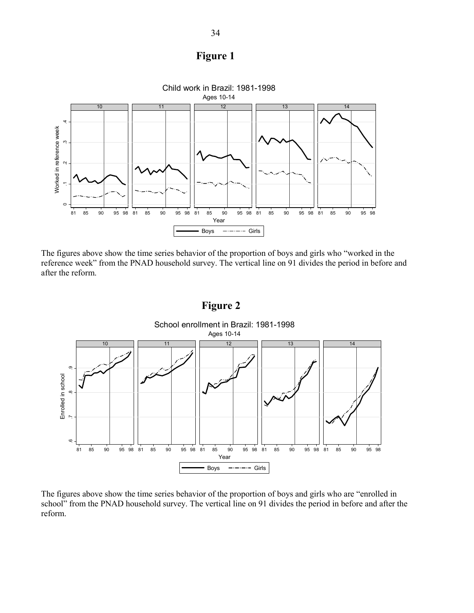



The figures above show the time series behavior of the proportion of boys and girls who "worked in the reference week" from the PNAD household survey. The vertical line on 91 divides the period in before and after the reform.



The figures above show the time series behavior of the proportion of boys and girls who are "enrolled in school" from the PNAD household survey. The vertical line on 91 divides the period in before and after the reform.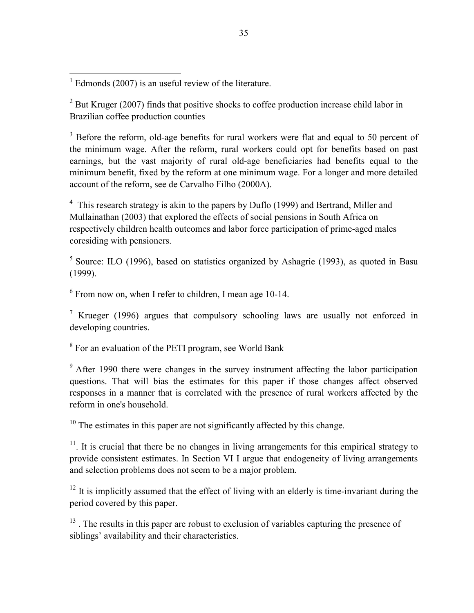$2^{2}$  But Kruger (2007) finds that positive shocks to coffee production increase child labor in Brazilian coffee production counties

 $3$  Before the reform, old-age benefits for rural workers were flat and equal to 50 percent of the minimum wage. After the reform, rural workers could opt for benefits based on past earnings, but the vast majority of rural old-age beneficiaries had benefits equal to the minimum benefit, fixed by the reform at one minimum wage. For a longer and more detailed account of the reform, see de Carvalho Filho (2000A).

<sup>4</sup> This research strategy is akin to the papers by Duflo (1999) and Bertrand, Miller and Mullainathan (2003) that explored the effects of social pensions in South Africa on respectively children health outcomes and labor force participation of prime-aged males coresiding with pensioners.

 $5$  Source: ILO (1996), based on statistics organized by Ashagrie (1993), as quoted in Basu (1999).

<sup>6</sup> From now on, when I refer to children, I mean age 10-14.

<sup>7</sup> Krueger (1996) argues that compulsory schooling laws are usually not enforced in developing countries.

 $8\,$  For an evaluation of the PETI program, see World Bank

<sup>9</sup> After 1990 there were changes in the survey instrument affecting the labor participation questions. That will bias the estimates for this paper if those changes affect observed responses in a manner that is correlated with the presence of rural workers affected by the reform in one's household.

<sup>10</sup> The estimates in this paper are not significantly affected by this change.

 $11$ . It is crucial that there be no changes in living arrangements for this empirical strategy to provide consistent estimates. In Section VI I argue that endogeneity of living arrangements and selection problems does not seem to be a major problem.

 $12$  It is implicitly assumed that the effect of living with an elderly is time-invariant during the period covered by this paper.

 $13$ . The results in this paper are robust to exclusion of variables capturing the presence of siblings' availability and their characteristics.

<sup>&</sup>lt;sup>1</sup> Edmonds (2007) is an useful review of the literature.